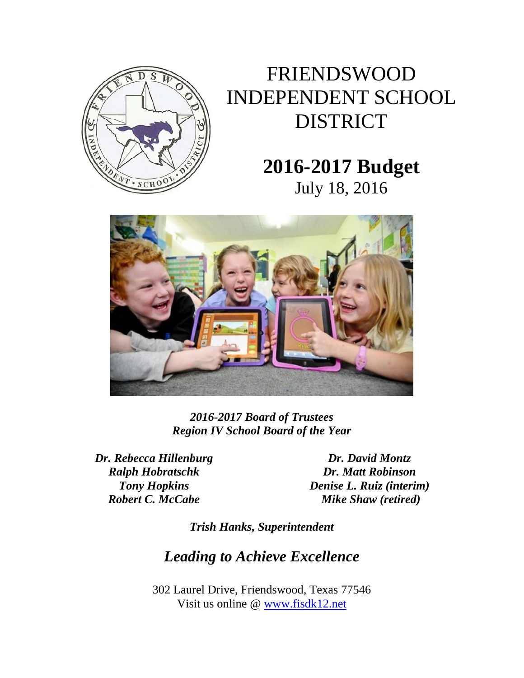

## FRIENDSWOOD INDEPENDENT SCHOOL DISTRICT

## **2016-2017 Budget**

July 18, 2016



*2016-2017 Board of Trustees Region IV School Board of the Year* 

*Dr. Rebecca Hillenburg Ralph Hobratschk Tony Hopkins Robert C. McCabe* 

*Dr. David Montz Dr. Matt Robinson Denise L. Ruiz (interim) Mike Shaw (retired)*

*Trish Hanks, Superintendent* 

## *Leading to Achieve Excellence*

302 Laurel Drive, Friendswood, Texas 77546 Visit us online @ www.fisdk12.net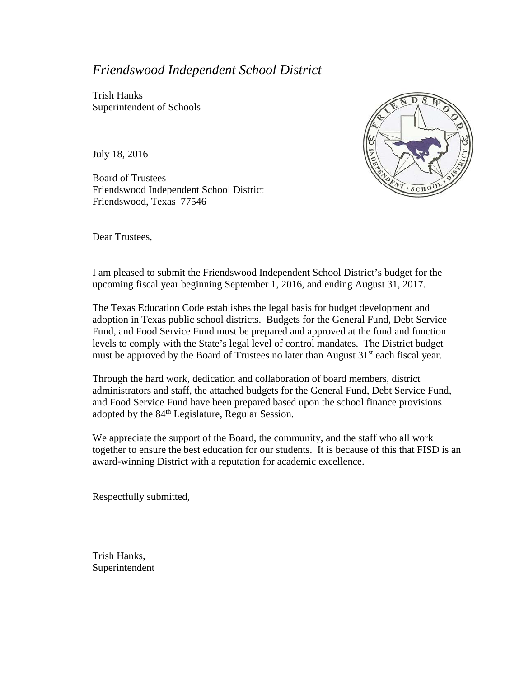## *Friendswood Independent School District*

Trish Hanks Superintendent of Schools

July 18, 2016

Board of Trustees Friendswood Independent School District Friendswood, Texas 77546



Dear Trustees,

I am pleased to submit the Friendswood Independent School District's budget for the upcoming fiscal year beginning September 1, 2016, and ending August 31, 2017.

The Texas Education Code establishes the legal basis for budget development and adoption in Texas public school districts. Budgets for the General Fund, Debt Service Fund, and Food Service Fund must be prepared and approved at the fund and function levels to comply with the State's legal level of control mandates. The District budget must be approved by the Board of Trustees no later than August  $31<sup>st</sup>$  each fiscal year.

Through the hard work, dedication and collaboration of board members, district administrators and staff, the attached budgets for the General Fund, Debt Service Fund, and Food Service Fund have been prepared based upon the school finance provisions adopted by the 84<sup>th</sup> Legislature, Regular Session.

We appreciate the support of the Board, the community, and the staff who all work together to ensure the best education for our students. It is because of this that FISD is an award-winning District with a reputation for academic excellence.

Respectfully submitted,

Trish Hanks, Superintendent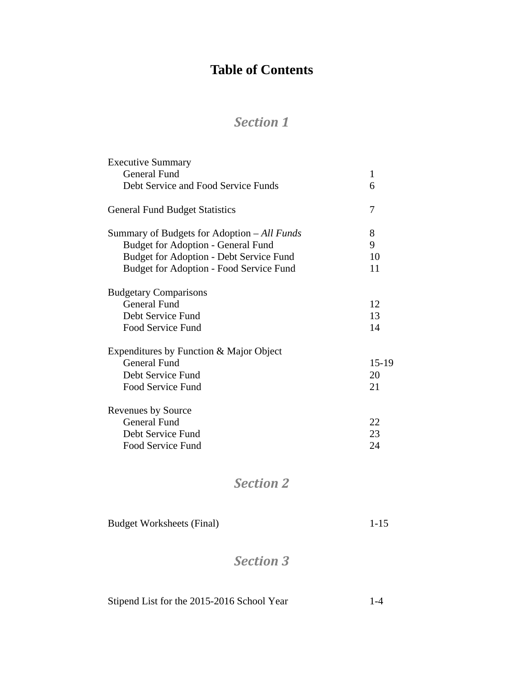## **Table of Contents**

## *Section 1*

| <b>Executive Summary</b>                      |              |
|-----------------------------------------------|--------------|
| <b>General Fund</b>                           | $\mathbf{1}$ |
| Debt Service and Food Service Funds           | 6            |
| <b>General Fund Budget Statistics</b>         | 7            |
| Summary of Budgets for Adoption $- All Funds$ | 8            |
| <b>Budget for Adoption - General Fund</b>     | 9            |
| Budget for Adoption - Debt Service Fund       | 10           |
| Budget for Adoption - Food Service Fund       | 11           |
| <b>Budgetary Comparisons</b>                  |              |
| <b>General Fund</b>                           | 12           |
| Debt Service Fund                             | 13           |
| Food Service Fund                             | 14           |
| Expenditures by Function & Major Object       |              |
| General Fund                                  | 15-19        |
| Debt Service Fund                             | 20           |
| Food Service Fund                             | 21           |
| Revenues by Source                            |              |
| <b>General Fund</b>                           | 22           |
| Debt Service Fund                             | 23           |
| Food Service Fund                             | 24           |
|                                               |              |

## *Section 2*

Budget Worksheets (Final) 1-15

## *Section 3*

| Stipend List for the 2015-2016 School Year |  |
|--------------------------------------------|--|
|--------------------------------------------|--|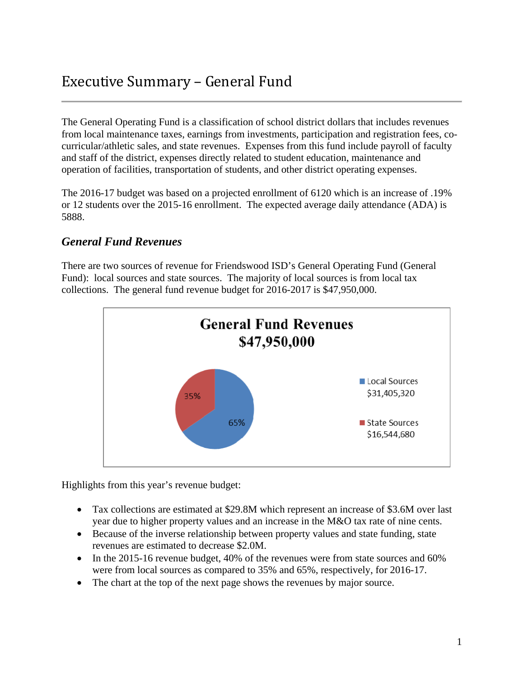The General Operating Fund is a classification of school district dollars that includes revenues from local maintenance taxes, earnings from investments, participation and registration fees, cocurricular/athletic sales, and state revenues. Expenses from this fund include payroll of faculty and staff of the district, expenses directly related to student education, maintenance and operation of facilities, transportation of students, and other district operating expenses.

The 2016-17 budget was based on a projected enrollment of 6120 which is an increase of .19% or 12 students over the 2015-16 enrollment. The expected average daily attendance (ADA) is 5888.

## *General Fund Revenues*

There are two sources of revenue for Friendswood ISD's General Operating Fund (General Fund): local sources and state sources. The majority of local sources is from local tax collections. The general fund revenue budget for 2016-2017 is \$47,950,000.



Highlights from this year's revenue budget:

- Tax collections are estimated at \$29.8M which represent an increase of \$3.6M over last year due to higher property values and an increase in the M&O tax rate of nine cents.
- Because of the inverse relationship between property values and state funding, state revenues are estimated to decrease \$2.0M.
- In the 2015-16 revenue budget, 40% of the revenues were from state sources and 60% were from local sources as compared to 35% and 65%, respectively, for 2016-17.
- The chart at the top of the next page shows the revenues by major source.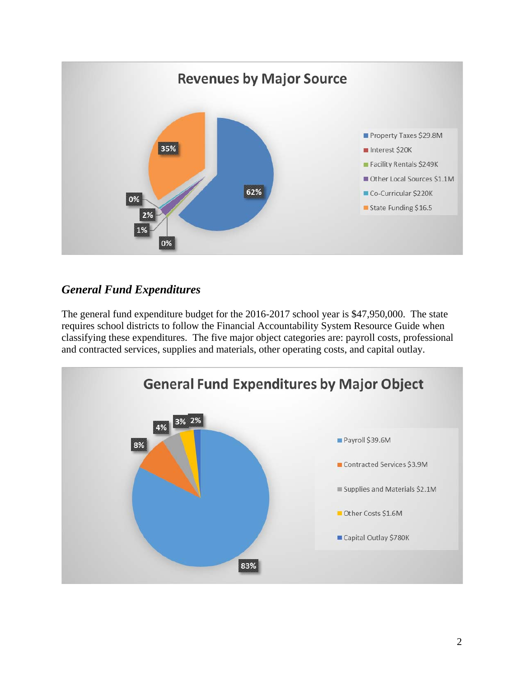

## *General Fund Expenditures*

The general fund expenditure budget for the 2016-2017 school year is \$47,950,000. The state requires school districts to follow the Financial Accountability System Resource Guide when classifying these expenditures. The five major object categories are: payroll costs, professional and contracted services, supplies and materials, other operating costs, and capital outlay.

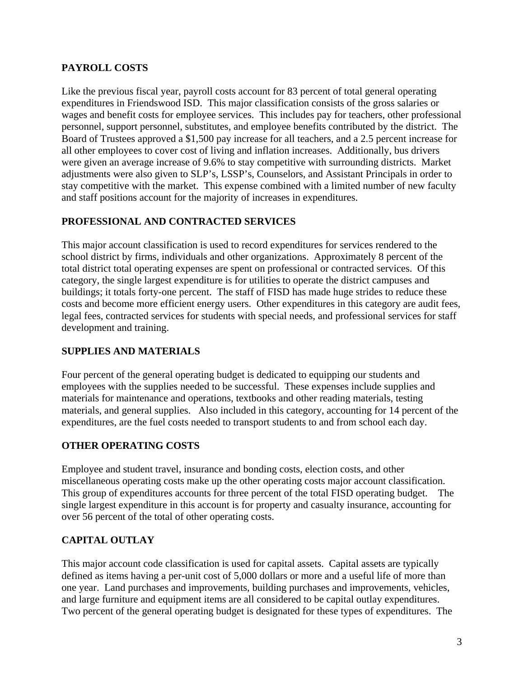#### **PAYROLL COSTS**

Like the previous fiscal year, payroll costs account for 83 percent of total general operating expenditures in Friendswood ISD. This major classification consists of the gross salaries or wages and benefit costs for employee services. This includes pay for teachers, other professional personnel, support personnel, substitutes, and employee benefits contributed by the district. The Board of Trustees approved a \$1,500 pay increase for all teachers, and a 2.5 percent increase for all other employees to cover cost of living and inflation increases. Additionally, bus drivers were given an average increase of 9.6% to stay competitive with surrounding districts. Market adjustments were also given to SLP's, LSSP's, Counselors, and Assistant Principals in order to stay competitive with the market. This expense combined with a limited number of new faculty and staff positions account for the majority of increases in expenditures.

#### **PROFESSIONAL AND CONTRACTED SERVICES**

This major account classification is used to record expenditures for services rendered to the school district by firms, individuals and other organizations. Approximately 8 percent of the total district total operating expenses are spent on professional or contracted services. Of this category, the single largest expenditure is for utilities to operate the district campuses and buildings; it totals forty-one percent. The staff of FISD has made huge strides to reduce these costs and become more efficient energy users. Other expenditures in this category are audit fees, legal fees, contracted services for students with special needs, and professional services for staff development and training.

#### **SUPPLIES AND MATERIALS**

Four percent of the general operating budget is dedicated to equipping our students and employees with the supplies needed to be successful. These expenses include supplies and materials for maintenance and operations, textbooks and other reading materials, testing materials, and general supplies. Also included in this category, accounting for 14 percent of the expenditures, are the fuel costs needed to transport students to and from school each day.

#### **OTHER OPERATING COSTS**

Employee and student travel, insurance and bonding costs, election costs, and other miscellaneous operating costs make up the other operating costs major account classification. This group of expenditures accounts for three percent of the total FISD operating budget. The single largest expenditure in this account is for property and casualty insurance, accounting for over 56 percent of the total of other operating costs.

#### **CAPITAL OUTLAY**

This major account code classification is used for capital assets. Capital assets are typically defined as items having a per-unit cost of 5,000 dollars or more and a useful life of more than one year. Land purchases and improvements, building purchases and improvements, vehicles, and large furniture and equipment items are all considered to be capital outlay expenditures. Two percent of the general operating budget is designated for these types of expenditures. The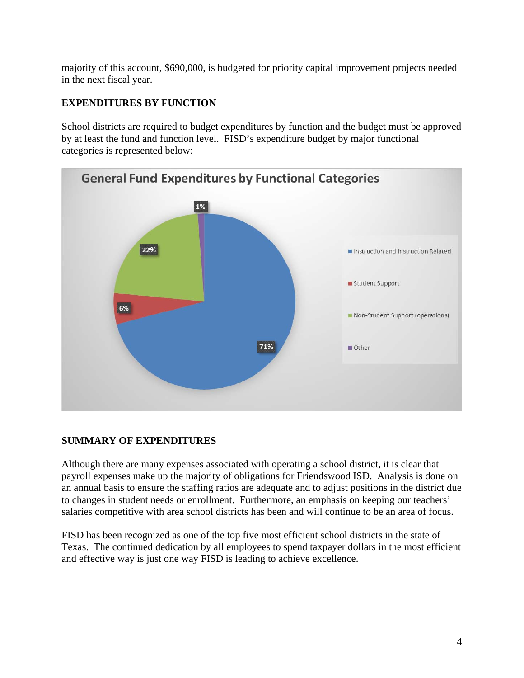majority of this account, \$690,000, is budgeted for priority capital improvement projects needed in the next fiscal year.

## **EXPENDITURES BY FUNCTION**

School districts are required to budget expenditures by function and the budget must be approved by at least the fund and function level. FISD's expenditure budget by major functional categories is represented below:



### **SUMMARY OF EXPENDITURES**

Although there are many expenses associated with operating a school district, it is clear that payroll expenses make up the majority of obligations for Friendswood ISD. Analysis is done on an annual basis to ensure the staffing ratios are adequate and to adjust positions in the district due to changes in student needs or enrollment. Furthermore, an emphasis on keeping our teachers' salaries competitive with area school districts has been and will continue to be an area of focus.

FISD has been recognized as one of the top five most efficient school districts in the state of Texas. The continued dedication by all employees to spend taxpayer dollars in the most efficient and effective way is just one way FISD is leading to achieve excellence.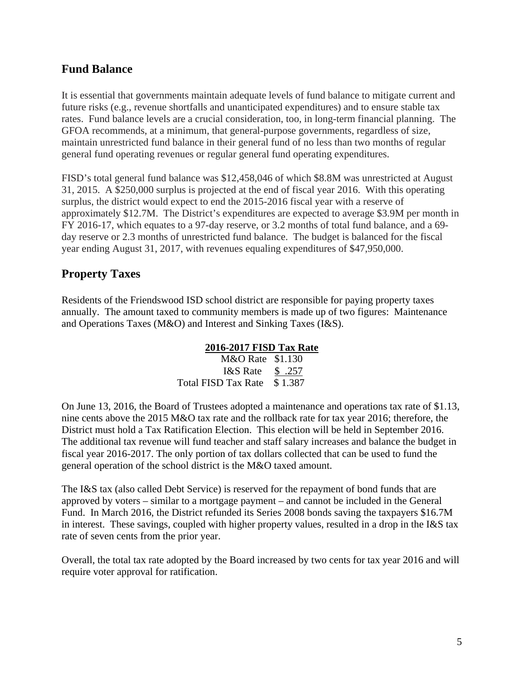### **Fund Balance**

It is essential that governments maintain adequate levels of fund balance to mitigate current and future risks (e.g., revenue shortfalls and unanticipated expenditures) and to ensure stable tax rates. Fund balance levels are a crucial consideration, too, in long-term financial planning. The GFOA recommends, at a minimum, that general-purpose governments, regardless of size, maintain unrestricted fund balance in their general fund of no less than two months of regular general fund operating revenues or regular general fund operating expenditures.

FISD's total general fund balance was \$12,458,046 of which \$8.8M was unrestricted at August 31, 2015. A \$250,000 surplus is projected at the end of fiscal year 2016. With this operating surplus, the district would expect to end the 2015-2016 fiscal year with a reserve of approximately \$12.7M. The District's expenditures are expected to average \$3.9M per month in FY 2016-17, which equates to a 97-day reserve, or 3.2 months of total fund balance, and a 69 day reserve or 2.3 months of unrestricted fund balance. The budget is balanced for the fiscal year ending August 31, 2017, with revenues equaling expenditures of \$47,950,000.

### **Property Taxes**

Residents of the Friendswood ISD school district are responsible for paying property taxes annually. The amount taxed to community members is made up of two figures: Maintenance and Operations Taxes (M&O) and Interest and Sinking Taxes (I&S).

#### **2016-2017 FISD Tax Rate**

M&O Rate \$1.130 I&S Rate \$ .257 Total FISD Tax Rate \$ 1.387

On June 13, 2016, the Board of Trustees adopted a maintenance and operations tax rate of \$1.13, nine cents above the 2015 M&O tax rate and the rollback rate for tax year 2016; therefore, the District must hold a Tax Ratification Election. This election will be held in September 2016. The additional tax revenue will fund teacher and staff salary increases and balance the budget in fiscal year 2016-2017. The only portion of tax dollars collected that can be used to fund the general operation of the school district is the M&O taxed amount.

The I&S tax (also called Debt Service) is reserved for the repayment of bond funds that are approved by voters – similar to a mortgage payment – and cannot be included in the General Fund. In March 2016, the District refunded its Series 2008 bonds saving the taxpayers \$16.7M in interest. These savings, coupled with higher property values, resulted in a drop in the I&S tax rate of seven cents from the prior year.

Overall, the total tax rate adopted by the Board increased by two cents for tax year 2016 and will require voter approval for ratification.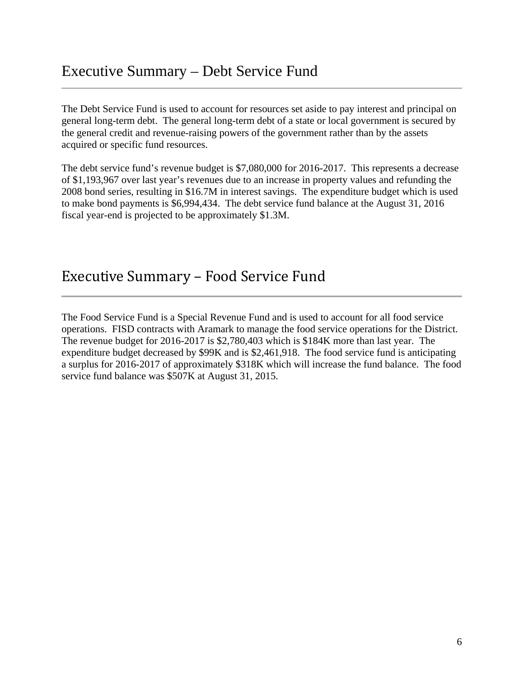## Executive Summary – Debt Service Fund

The Debt Service Fund is used to account for resources set aside to pay interest and principal on general long-term debt. The general long-term debt of a state or local government is secured by the general credit and revenue-raising powers of the government rather than by the assets acquired or specific fund resources.

The debt service fund's revenue budget is \$7,080,000 for 2016-2017. This represents a decrease of \$1,193,967 over last year's revenues due to an increase in property values and refunding the 2008 bond series, resulting in \$16.7M in interest savings. The expenditure budget which is used to make bond payments is \$6,994,434. The debt service fund balance at the August 31, 2016 fiscal year-end is projected to be approximately \$1.3M.

## Executive Summary – Food Service Fund

The Food Service Fund is a Special Revenue Fund and is used to account for all food service operations. FISD contracts with Aramark to manage the food service operations for the District. The revenue budget for 2016-2017 is \$2,780,403 which is \$184K more than last year. The expenditure budget decreased by \$99K and is \$2,461,918. The food service fund is anticipating a surplus for 2016-2017 of approximately \$318K which will increase the fund balance. The food service fund balance was \$507K at August 31, 2015.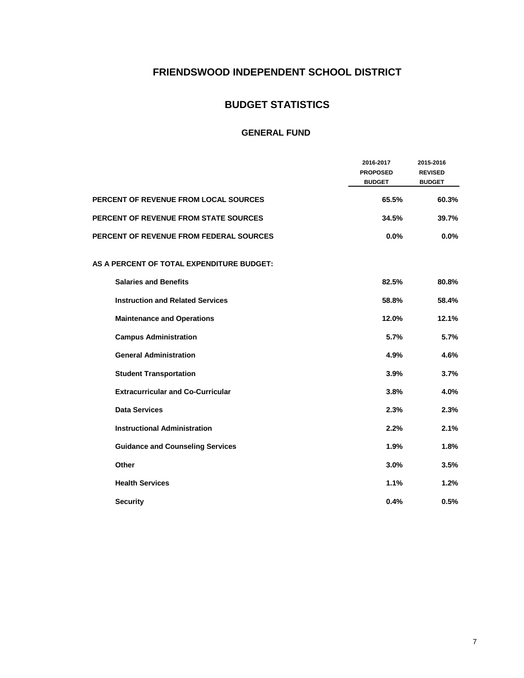### **FRIENDSWOOD INDEPENDENT SCHOOL DISTRICT**

### **BUDGET STATISTICS**

|                                              | 2016-2017<br><b>PROPOSED</b><br><b>BUDGET</b> | 2015-2016<br><b>REVISED</b><br><b>BUDGET</b> |
|----------------------------------------------|-----------------------------------------------|----------------------------------------------|
| <b>PERCENT OF REVENUE FROM LOCAL SOURCES</b> | 65.5%                                         | 60.3%                                        |
| <b>PERCENT OF REVENUE FROM STATE SOURCES</b> | 34.5%                                         | 39.7%                                        |
| PERCENT OF REVENUE FROM FEDERAL SOURCES      | 0.0%                                          | 0.0%                                         |
| AS A PERCENT OF TOTAL EXPENDITURE BUDGET:    |                                               |                                              |
| <b>Salaries and Benefits</b>                 | 82.5%                                         | 80.8%                                        |
| <b>Instruction and Related Services</b>      | 58.8%                                         | 58.4%                                        |
| <b>Maintenance and Operations</b>            | 12.0%                                         | 12.1%                                        |
| <b>Campus Administration</b>                 | 5.7%                                          | 5.7%                                         |
| <b>General Administration</b>                | 4.9%                                          | 4.6%                                         |
| <b>Student Transportation</b>                | 3.9%                                          | 3.7%                                         |
| <b>Extracurricular and Co-Curricular</b>     | 3.8%                                          | 4.0%                                         |
| <b>Data Services</b>                         | 2.3%                                          | 2.3%                                         |
| <b>Instructional Administration</b>          | 2.2%                                          | 2.1%                                         |
| <b>Guidance and Counseling Services</b>      | 1.9%                                          | 1.8%                                         |
| Other                                        | 3.0%                                          | 3.5%                                         |
| <b>Health Services</b>                       | 1.1%                                          | 1.2%                                         |
| <b>Security</b>                              | 0.4%                                          | 0.5%                                         |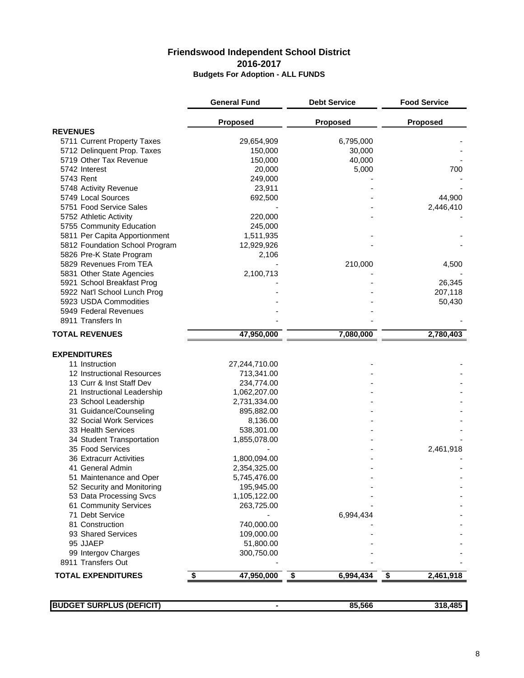#### **Friendswood Independent School District 2016-2017 Budgets For Adoption - ALL FUNDS**

|                                | <b>General Fund</b>     | <b>Debt Service</b> | <b>Food Service</b> |
|--------------------------------|-------------------------|---------------------|---------------------|
|                                | <b>Proposed</b>         | <b>Proposed</b>     | Proposed            |
| <b>REVENUES</b>                |                         |                     |                     |
| 5711 Current Property Taxes    | 29,654,909              | 6,795,000           |                     |
| 5712 Delinquent Prop. Taxes    | 150,000                 | 30,000              |                     |
| 5719 Other Tax Revenue         | 150,000                 | 40,000              |                     |
| 5742 Interest                  | 20,000                  | 5,000               | 700                 |
| 5743 Rent                      | 249,000                 |                     |                     |
| 5748 Activity Revenue          | 23,911                  |                     |                     |
| 5749 Local Sources             | 692,500                 |                     | 44,900              |
| 5751 Food Service Sales        |                         |                     | 2,446,410           |
| 5752 Athletic Activity         | 220,000                 |                     |                     |
| 5755 Community Education       | 245,000                 |                     |                     |
| 5811 Per Capita Apportionment  | 1,511,935               |                     |                     |
| 5812 Foundation School Program | 12,929,926              |                     |                     |
| 5826 Pre-K State Program       | 2,106                   |                     |                     |
| 5829 Revenues From TEA         |                         | 210,000             | 4,500               |
| 5831 Other State Agencies      | 2,100,713               |                     |                     |
| 5921 School Breakfast Prog     |                         |                     | 26,345              |
| 5922 Nat'l School Lunch Prog   |                         |                     | 207,118             |
| 5923 USDA Commodities          |                         |                     | 50,430              |
| 5949 Federal Revenues          |                         |                     |                     |
| 8911 Transfers In              |                         |                     |                     |
| <b>TOTAL REVENUES</b>          | 47,950,000              | 7,080,000           | 2,780,403           |
|                                |                         |                     |                     |
| <b>EXPENDITURES</b>            |                         |                     |                     |
| 11 Instruction                 | 27,244,710.00           |                     |                     |
| 12 Instructional Resources     | 713,341.00              |                     |                     |
| 13 Curr & Inst Staff Dev       | 234,774.00              |                     |                     |
| 21 Instructional Leadership    | 1,062,207.00            |                     |                     |
| 23 School Leadership           | 2,731,334.00            |                     |                     |
| 31 Guidance/Counseling         | 895,882.00              |                     |                     |
| 32 Social Work Services        | 8,136.00                |                     |                     |
| 33 Health Services             | 538,301.00              |                     |                     |
| 34 Student Transportation      | 1,855,078.00            |                     |                     |
| 35 Food Services               |                         |                     | 2,461,918           |
| 36 Extracurr Activities        | 1,800,094.00            |                     |                     |
| 41 General Admin               | 2,354,325.00            |                     |                     |
| 51 Maintenance and Oper        | 5,745,476.00            |                     |                     |
| 52 Security and Monitoring     | 195,945.00              |                     |                     |
| 53 Data Processing Svcs        | 1,105,122.00            |                     |                     |
| 61 Community Services          | 263,725.00              |                     |                     |
| 71 Debt Service                |                         | 6,994,434           |                     |
| 81 Construction                | 740,000.00              |                     |                     |
| 93 Shared Services             | 109,000.00              |                     |                     |
| 95 JJAEP                       | 51,800.00               |                     |                     |
| 99 Intergov Charges            | 300,750.00              |                     |                     |
| 8911 Transfers Out             |                         |                     |                     |
| <b>TOTAL EXPENDITURES</b>      | 47,950,000<br><u>\$</u> | \$<br>6,994,434     | \$<br>2,461,918     |
|                                |                         |                     |                     |

| <b>BUDGET SURPLUS (DEFICIT)</b> | 85,566 | $AB^r$<br>31 R |
|---------------------------------|--------|----------------|
|                                 |        |                |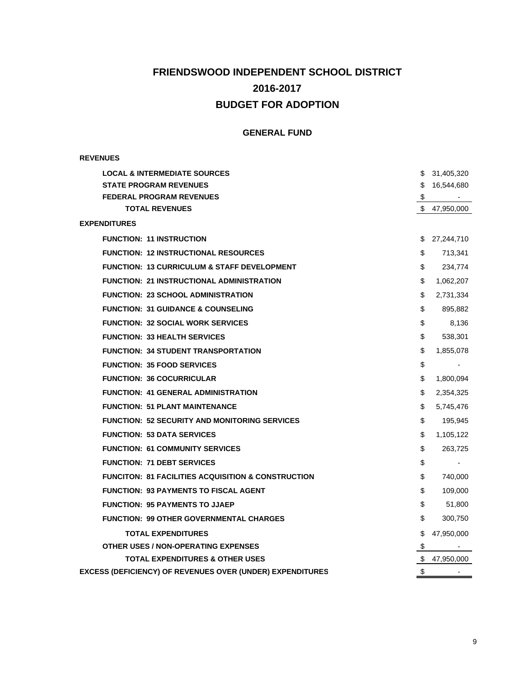## **FRIENDSWOOD INDEPENDENT SCHOOL DISTRICT BUDGET FOR ADOPTION 2016-2017**

#### **GENERAL FUND**

#### **REVENUES**

| <b>LOCAL &amp; INTERMEDIATE SOURCES</b>                   | \$ | 31,405,320   |
|-----------------------------------------------------------|----|--------------|
| <b>STATE PROGRAM REVENUES</b>                             |    | \$16,544,680 |
| <b>FEDERAL PROGRAM REVENUES</b>                           | S. |              |
| <b>TOTAL REVENUES</b>                                     |    | \$47,950,000 |
| <b>EXPENDITURES</b>                                       |    |              |
| <b>FUNCTION: 11 INSTRUCTION</b>                           |    | \$27,244,710 |
| <b>FUNCTION: 12 INSTRUCTIONAL RESOURCES</b>               | \$ | 713,341      |
| <b>FUNCTION: 13 CURRICULUM &amp; STAFF DEVELOPMENT</b>    | \$ | 234,774      |
| <b>FUNCTION: 21 INSTRUCTIONAL ADMINISTRATION</b>          | \$ | 1,062,207    |
| <b>FUNCTION: 23 SCHOOL ADMINISTRATION</b>                 | \$ | 2,731,334    |
| <b>FUNCTION: 31 GUIDANCE &amp; COUNSELING</b>             | \$ | 895,882      |
| <b>FUNCTION: 32 SOCIAL WORK SERVICES</b>                  | \$ | 8,136        |
| <b>FUNCTION: 33 HEALTH SERVICES</b>                       | \$ | 538,301      |
| <b>FUNCTION: 34 STUDENT TRANSPORTATION</b>                | \$ | 1,855,078    |
| <b>FUNCTION: 35 FOOD SERVICES</b>                         | \$ |              |
| <b>FUNCTION: 36 COCURRICULAR</b>                          | \$ | 1,800,094    |
| <b>FUNCTION: 41 GENERAL ADMINISTRATION</b>                | \$ | 2,354,325    |
| <b>FUNCTION: 51 PLANT MAINTENANCE</b>                     | \$ | 5,745,476    |
| <b>FUNCTION: 52 SECURITY AND MONITORING SERVICES</b>      | \$ | 195,945      |
| <b>FUNCTION: 53 DATA SERVICES</b>                         | \$ | 1,105,122    |
| <b>FUNCTION: 61 COMMUNITY SERVICES</b>                    | \$ | 263,725      |
| <b>FUNCTION: 71 DEBT SERVICES</b>                         | \$ |              |
| FUNCITON: 81 FACILITIES ACQUISITION & CONSTRUCTION        | \$ | 740,000      |
| <b>FUNCTION: 93 PAYMENTS TO FISCAL AGENT</b>              | \$ | 109,000      |
| <b>FUNCTION: 95 PAYMENTS TO JJAEP</b>                     | \$ | 51,800       |
| <b>FUNCTION: 99 OTHER GOVERNMENTAL CHARGES</b>            | \$ | 300,750      |
| <b>TOTAL EXPENDITURES</b>                                 | \$ | 47,950,000   |
| <b>OTHER USES / NON-OPERATING EXPENSES</b>                | \$ | $\sim$       |
| <b>TOTAL EXPENDITURES &amp; OTHER USES</b>                |    | \$47,950,000 |
| EXCESS (DEFICIENCY) OF REVENUES OVER (UNDER) EXPENDITURES | \$ |              |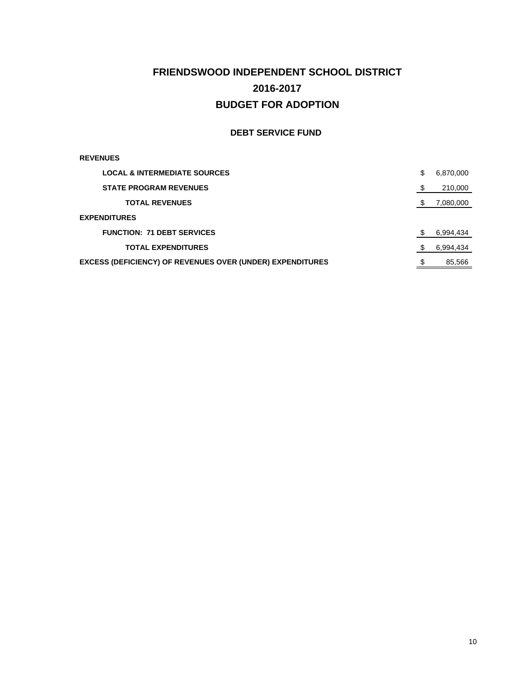## **FRIENDSWOOD INDEPENDENT SCHOOL DISTRICT BUDGET FOR ADOPTION 2016-2017**

#### **DEBT SERVICE FUND**

#### **REVENUES**

| <b>LOCAL &amp; INTERMEDIATE SOURCES</b>                          | \$<br>6,870,000 |
|------------------------------------------------------------------|-----------------|
| <b>STATE PROGRAM REVENUES</b>                                    | 210,000         |
| <b>TOTAL REVENUES</b>                                            | 7,080,000       |
| <b>EXPENDITURES</b>                                              |                 |
| <b>FUNCTION: 71 DEBT SERVICES</b>                                | 6,994,434       |
| <b>TOTAL EXPENDITURES</b>                                        | 6,994,434       |
| <b>EXCESS (DEFICIENCY) OF REVENUES OVER (UNDER) EXPENDITURES</b> | 85,566          |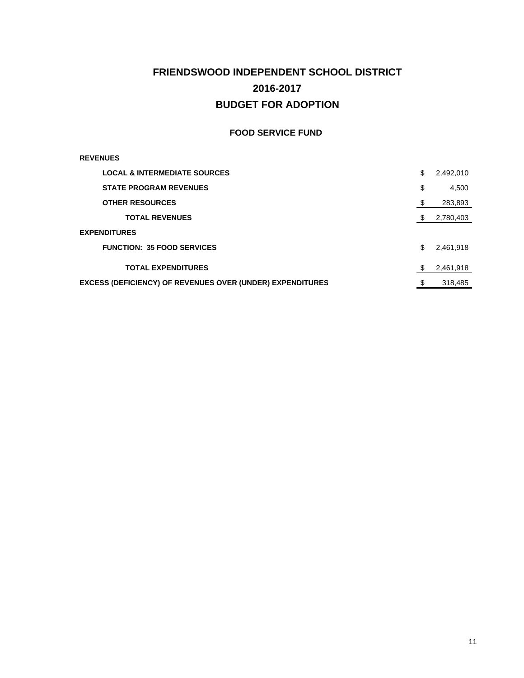## **FRIENDSWOOD INDEPENDENT SCHOOL DISTRICT BUDGET FOR ADOPTION 2016-2017**

#### **FOOD SERVICE FUND**

#### **REVENUES**

| <b>LOCAL &amp; INTERMEDIATE SOURCES</b>                          | \$   | 2,492,010 |
|------------------------------------------------------------------|------|-----------|
| <b>STATE PROGRAM REVENUES</b>                                    | \$   | 4,500     |
| <b>OTHER RESOURCES</b>                                           | - 35 | 283,893   |
| <b>TOTAL REVENUES</b>                                            | - \$ | 2,780,403 |
| <b>EXPENDITURES</b>                                              |      |           |
| <b>FUNCTION: 35 FOOD SERVICES</b>                                | \$.  | 2,461,918 |
| <b>TOTAL EXPENDITURES</b>                                        |      | 2,461,918 |
| <b>EXCESS (DEFICIENCY) OF REVENUES OVER (UNDER) EXPENDITURES</b> |      | 318,485   |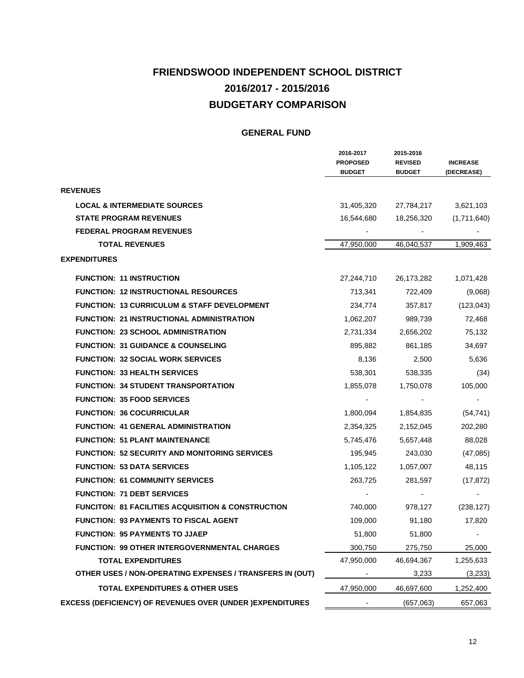## **FRIENDSWOOD INDEPENDENT SCHOOL DISTRICT BUDGETARY COMPARISON 2016/2017 - 2015/2016**

|                                                                   | 2016-2017<br><b>PROPOSED</b> | 2015-2016<br><b>REVISED</b> | <b>INCREASE</b> |
|-------------------------------------------------------------------|------------------------------|-----------------------------|-----------------|
|                                                                   | <b>BUDGET</b>                | <b>BUDGET</b>               | (DECREASE)      |
| <b>REVENUES</b>                                                   |                              |                             |                 |
| <b>LOCAL &amp; INTERMEDIATE SOURCES</b>                           | 31,405,320                   | 27,784,217                  | 3,621,103       |
| <b>STATE PROGRAM REVENUES</b>                                     | 16,544,680                   | 18,256,320                  | (1,711,640)     |
| <b>FEDERAL PROGRAM REVENUES</b>                                   |                              |                             |                 |
| <b>TOTAL REVENUES</b>                                             | 47,950,000                   | 46,040,537                  | 1,909,463       |
| <b>EXPENDITURES</b>                                               |                              |                             |                 |
| <b>FUNCTION: 11 INSTRUCTION</b>                                   | 27,244,710                   | 26,173,282                  | 1,071,428       |
| <b>FUNCTION: 12 INSTRUCTIONAL RESOURCES</b>                       | 713,341                      | 722,409                     | (9,068)         |
| <b>FUNCTION: 13 CURRICULUM &amp; STAFF DEVELOPMENT</b>            | 234,774                      | 357,817                     | (123, 043)      |
| <b>FUNCTION: 21 INSTRUCTIONAL ADMINISTRATION</b>                  | 1,062,207                    | 989,739                     | 72,468          |
| <b>FUNCTION: 23 SCHOOL ADMINISTRATION</b>                         | 2,731,334                    | 2,656,202                   | 75,132          |
| <b>FUNCTION: 31 GUIDANCE &amp; COUNSELING</b>                     | 895,882                      | 861,185                     | 34,697          |
| <b>FUNCTION: 32 SOCIAL WORK SERVICES</b>                          | 8,136                        | 2,500                       | 5,636           |
| <b>FUNCTION: 33 HEALTH SERVICES</b>                               | 538,301                      | 538,335                     | (34)            |
| <b>FUNCTION: 34 STUDENT TRANSPORTATION</b>                        | 1,855,078                    | 1,750,078                   | 105,000         |
| <b>FUNCTION: 35 FOOD SERVICES</b>                                 |                              |                             |                 |
| <b>FUNCTION: 36 COCURRICULAR</b>                                  | 1,800,094                    | 1,854,835                   | (54, 741)       |
| <b>FUNCTION: 41 GENERAL ADMINISTRATION</b>                        | 2,354,325                    | 2,152,045                   | 202,280         |
| <b>FUNCTION: 51 PLANT MAINTENANCE</b>                             | 5,745,476                    | 5,657,448                   | 88,028          |
| <b>FUNCTION: 52 SECURITY AND MONITORING SERVICES</b>              | 195,945                      | 243,030                     | (47,085)        |
| <b>FUNCTION: 53 DATA SERVICES</b>                                 | 1,105,122                    | 1,057,007                   | 48,115          |
| <b>FUNCTION: 61 COMMUNITY SERVICES</b>                            | 263,725                      | 281,597                     | (17, 872)       |
| <b>FUNCTION: 71 DEBT SERVICES</b>                                 |                              | $\overline{\phantom{a}}$    |                 |
| <b>FUNCITON: 81 FACILITIES ACQUISITION &amp; CONSTRUCTION</b>     | 740,000                      | 978,127                     | (238, 127)      |
| <b>FUNCTION: 93 PAYMENTS TO FISCAL AGENT</b>                      | 109,000                      | 91,180                      | 17,820          |
| <b>FUNCTION: 95 PAYMENTS TO JJAEP</b>                             | 51,800                       | 51,800                      |                 |
| FUNCTION: 99 OTHER INTERGOVERNMENTAL CHARGES                      | 300,750                      | 275,750                     | 25,000          |
| <b>TOTAL EXPENDITURES</b>                                         | 47,950,000                   | 46,694,367                  | 1,255,633       |
| OTHER USES / NON-OPERATING EXPENSES / TRANSFERS IN (OUT)          |                              | 3,233                       | (3,233)         |
| <b>TOTAL EXPENDITURES &amp; OTHER USES</b>                        | 47,950,000                   | 46,697,600                  | 1,252,400       |
| <b>EXCESS (DEFICIENCY) OF REVENUES OVER (UNDER ) EXPENDITURES</b> |                              | (657,063)                   | 657,063         |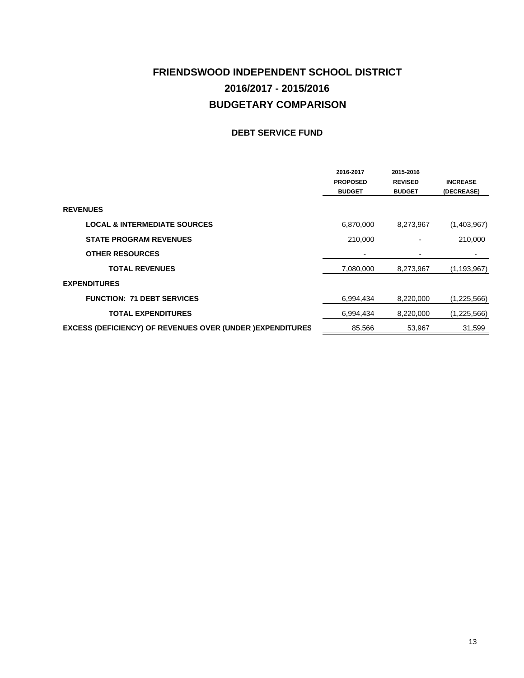## **FRIENDSWOOD INDEPENDENT SCHOOL DISTRICT BUDGETARY COMPARISON 2016/2017 - 2015/2016**

#### **DEBT SERVICE FUND**

|                                                                   | 2016-2017<br><b>PROPOSED</b><br><b>BUDGET</b> | 2015-2016<br><b>REVISED</b><br><b>BUDGET</b> | <b>INCREASE</b><br>(DECREASE) |
|-------------------------------------------------------------------|-----------------------------------------------|----------------------------------------------|-------------------------------|
| <b>REVENUES</b>                                                   |                                               |                                              |                               |
| <b>LOCAL &amp; INTERMEDIATE SOURCES</b>                           | 6,870,000                                     | 8,273,967                                    | (1,403,967)                   |
| <b>STATE PROGRAM REVENUES</b>                                     | 210,000                                       |                                              | 210,000                       |
| <b>OTHER RESOURCES</b>                                            |                                               |                                              |                               |
| <b>TOTAL REVENUES</b>                                             | 7,080,000                                     | 8,273,967                                    | (1, 193, 967)                 |
| <b>EXPENDITURES</b>                                               |                                               |                                              |                               |
| <b>FUNCTION: 71 DEBT SERVICES</b>                                 | 6,994,434                                     | 8,220,000                                    | (1,225,566)                   |
| <b>TOTAL EXPENDITURES</b>                                         | 6,994,434                                     | 8,220,000                                    | (1,225,566)                   |
| <b>EXCESS (DEFICIENCY) OF REVENUES OVER (UNDER ) EXPENDITURES</b> | 85,566                                        | 53,967                                       | 31,599                        |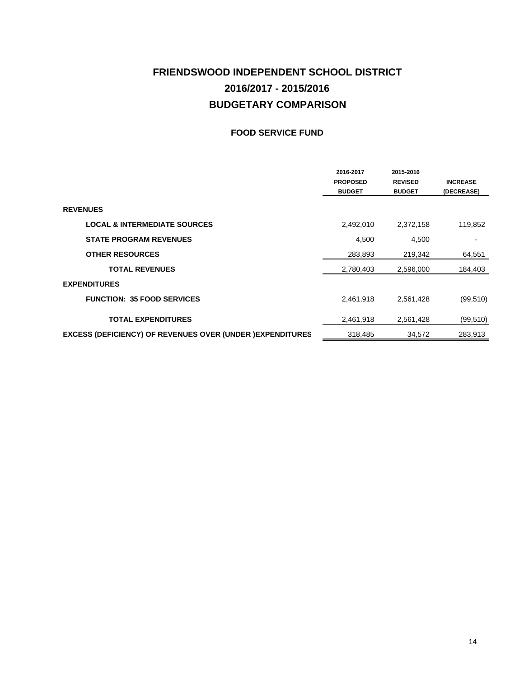## **FRIENDSWOOD INDEPENDENT SCHOOL DISTRICT BUDGETARY COMPARISON 2016/2017 - 2015/2016**

#### **FOOD SERVICE FUND**

|                                                                   | 2016-2017<br><b>PROPOSED</b><br><b>BUDGET</b> | 2015-2016<br><b>REVISED</b><br><b>BUDGET</b> | <b>INCREASE</b><br>(DECREASE) |
|-------------------------------------------------------------------|-----------------------------------------------|----------------------------------------------|-------------------------------|
| <b>REVENUES</b>                                                   |                                               |                                              |                               |
| <b>LOCAL &amp; INTERMEDIATE SOURCES</b>                           | 2,492,010                                     | 2,372,158                                    | 119,852                       |
| <b>STATE PROGRAM REVENUES</b>                                     | 4,500                                         | 4,500                                        | $\blacksquare$                |
| <b>OTHER RESOURCES</b>                                            | 283,893                                       | 219,342                                      | 64,551                        |
| <b>TOTAL REVENUES</b>                                             | 2,780,403                                     | 2,596,000                                    | 184,403                       |
| <b>EXPENDITURES</b>                                               |                                               |                                              |                               |
| <b>FUNCTION: 35 FOOD SERVICES</b>                                 | 2,461,918                                     | 2,561,428                                    | (99, 510)                     |
| <b>TOTAL EXPENDITURES</b>                                         | 2,461,918                                     | 2,561,428                                    | (99, 510)                     |
| <b>EXCESS (DEFICIENCY) OF REVENUES OVER (UNDER ) EXPENDITURES</b> | 318,485                                       | 34,572                                       | 283,913                       |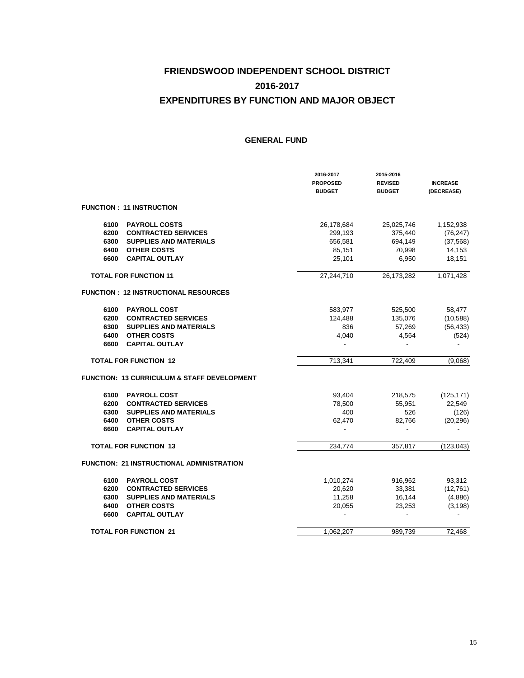|      |                                              | 2016-2017<br><b>PROPOSED</b><br><b>BUDGET</b> | 2015-2016<br><b>REVISED</b><br><b>BUDGET</b> | <b>INCREASE</b><br>(DECREASE) |
|------|----------------------------------------------|-----------------------------------------------|----------------------------------------------|-------------------------------|
|      | <b>FUNCTION: 11 INSTRUCTION</b>              |                                               |                                              |                               |
| 6100 | <b>PAYROLL COSTS</b>                         | 26,178,684                                    | 25,025,746                                   | 1,152,938                     |
| 6200 | <b>CONTRACTED SERVICES</b>                   | 299,193                                       | 375,440                                      | (76, 247)                     |
| 6300 | <b>SUPPLIES AND MATERIALS</b>                | 656,581                                       | 694,149                                      | (37, 568)                     |
| 6400 | <b>OTHER COSTS</b>                           | 85,151                                        | 70,998                                       | 14,153                        |
| 6600 | <b>CAPITAL OUTLAY</b>                        | 25,101                                        | 6,950                                        | 18,151                        |
|      | <b>TOTAL FOR FUNCTION 11</b>                 | 27,244,710                                    | 26,173,282                                   | 1,071,428                     |
|      | <b>FUNCTION : 12 INSTRUCTIONAL RESOURCES</b> |                                               |                                              |                               |
| 6100 | <b>PAYROLL COST</b>                          | 583,977                                       | 525,500                                      | 58,477                        |
| 6200 | <b>CONTRACTED SERVICES</b>                   | 124,488                                       | 135,076                                      | (10, 588)                     |
| 6300 | <b>SUPPLIES AND MATERIALS</b>                | 836                                           | 57,269                                       | (56, 433)                     |
| 6400 | <b>OTHER COSTS</b>                           | 4,040                                         | 4,564                                        | (524)                         |
| 6600 | <b>CAPITAL OUTLAY</b>                        |                                               |                                              |                               |
|      | <b>TOTAL FOR FUNCTION 12</b>                 | 713,341                                       | 722,409                                      | (9,068)                       |
|      | FUNCTION: 13 CURRICULUM & STAFF DEVELOPMENT  |                                               |                                              |                               |
| 6100 | <b>PAYROLL COST</b>                          | 93,404                                        | 218,575                                      | (125, 171)                    |
| 6200 | <b>CONTRACTED SERVICES</b>                   | 78,500                                        | 55,951                                       | 22,549                        |
| 6300 | <b>SUPPLIES AND MATERIALS</b>                | 400                                           | 526                                          | (126)                         |
| 6400 | <b>OTHER COSTS</b>                           | 62,470                                        | 82,766                                       | (20, 296)                     |
| 6600 | <b>CAPITAL OUTLAY</b>                        |                                               |                                              |                               |
|      | <b>TOTAL FOR FUNCTION 13</b>                 | 234,774                                       | 357,817                                      | (123, 043)                    |
|      | FUNCTION: 21 INSTRUCTIONAL ADMINISTRATION    |                                               |                                              |                               |
| 6100 | <b>PAYROLL COST</b>                          | 1,010,274                                     | 916,962                                      | 93,312                        |
| 6200 | <b>CONTRACTED SERVICES</b>                   | 20,620                                        | 33,381                                       | (12,761)                      |
| 6300 | <b>SUPPLIES AND MATERIALS</b>                | 11,258                                        | 16,144                                       | (4,886)                       |
| 6400 | <b>OTHER COSTS</b>                           | 20,055                                        | 23,253                                       | (3, 198)                      |
| 6600 | <b>CAPITAL OUTLAY</b>                        |                                               | $\overline{a}$                               |                               |
|      | <b>TOTAL FOR FUNCTION 21</b>                 | 1,062,207                                     | 989,739                                      | 72.468                        |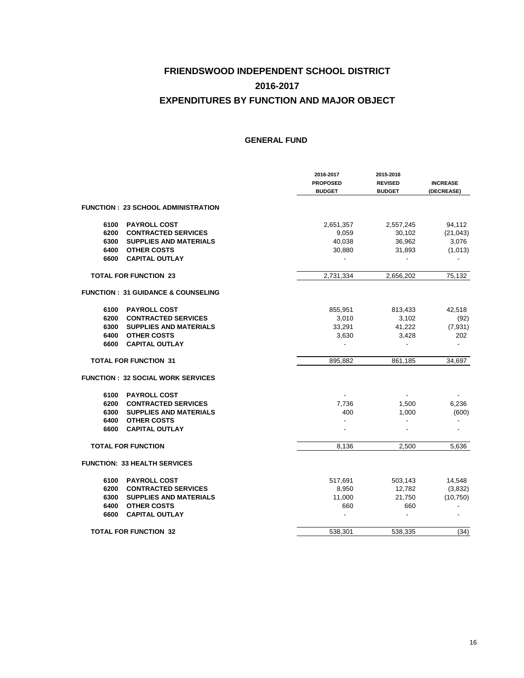|      |                                               | 2016-2017<br><b>PROPOSED</b><br><b>BUDGET</b> | 2015-2016<br><b>REVISED</b><br><b>BUDGET</b> | <b>INCREASE</b><br>(DECREASE) |
|------|-----------------------------------------------|-----------------------------------------------|----------------------------------------------|-------------------------------|
|      | <b>FUNCTION : 23 SCHOOL ADMINISTRATION</b>    |                                               |                                              |                               |
| 6100 | <b>PAYROLL COST</b>                           | 2,651,357                                     | 2,557,245                                    | 94,112                        |
| 6200 | <b>CONTRACTED SERVICES</b>                    | 9,059                                         | 30,102                                       | (21, 043)                     |
| 6300 | <b>SUPPLIES AND MATERIALS</b>                 | 40,038                                        | 36,962                                       | 3,076                         |
| 6400 | <b>OTHER COSTS</b>                            | 30,880                                        | 31,893                                       | (1,013)                       |
| 6600 | <b>CAPITAL OUTLAY</b>                         |                                               |                                              | $\overline{\phantom{a}}$      |
|      | <b>TOTAL FOR FUNCTION 23</b>                  | 2,731,334                                     | 2,656,202                                    | 75,132                        |
|      | <b>FUNCTION: 31 GUIDANCE &amp; COUNSELING</b> |                                               |                                              |                               |
| 6100 | <b>PAYROLL COST</b>                           | 855,951                                       | 813,433                                      | 42,518                        |
| 6200 | <b>CONTRACTED SERVICES</b>                    | 3,010                                         | 3,102                                        | (92)                          |
| 6300 | <b>SUPPLIES AND MATERIALS</b>                 | 33,291                                        | 41,222                                       | (7,931)                       |
| 6400 | <b>OTHER COSTS</b>                            | 3,630                                         | 3,428                                        | 202                           |
| 6600 | <b>CAPITAL OUTLAY</b>                         |                                               |                                              |                               |
|      | <b>TOTAL FOR FUNCTION 31</b>                  | 895,882                                       | 861,185                                      | 34,697                        |
|      | <b>FUNCTION: 32 SOCIAL WORK SERVICES</b>      |                                               |                                              |                               |
| 6100 | <b>PAYROLL COST</b>                           |                                               |                                              |                               |
| 6200 | <b>CONTRACTED SERVICES</b>                    | 7,736                                         | 1,500                                        | 6,236                         |
| 6300 | <b>SUPPLIES AND MATERIALS</b>                 | 400                                           | 1,000                                        | (600)                         |
| 6400 | <b>OTHER COSTS</b>                            |                                               |                                              |                               |
| 6600 | <b>CAPITAL OUTLAY</b>                         |                                               |                                              |                               |
|      | <b>TOTAL FOR FUNCTION</b>                     | 8,136                                         | 2,500                                        | 5,636                         |
|      | <b>FUNCTION: 33 HEALTH SERVICES</b>           |                                               |                                              |                               |
| 6100 | <b>PAYROLL COST</b>                           | 517,691                                       | 503,143                                      | 14,548                        |
| 6200 | <b>CONTRACTED SERVICES</b>                    | 8,950                                         | 12,782                                       | (3,832)                       |
| 6300 | <b>SUPPLIES AND MATERIALS</b>                 | 11,000                                        | 21,750                                       | (10, 750)                     |
| 6400 | <b>OTHER COSTS</b>                            | 660                                           | 660                                          |                               |
| 6600 | <b>CAPITAL OUTLAY</b>                         | $\overline{\phantom{a}}$                      | $\overline{\phantom{a}}$                     |                               |
|      | <b>TOTAL FOR FUNCTION 32</b>                  | 538,301                                       | 538,335                                      | (34)                          |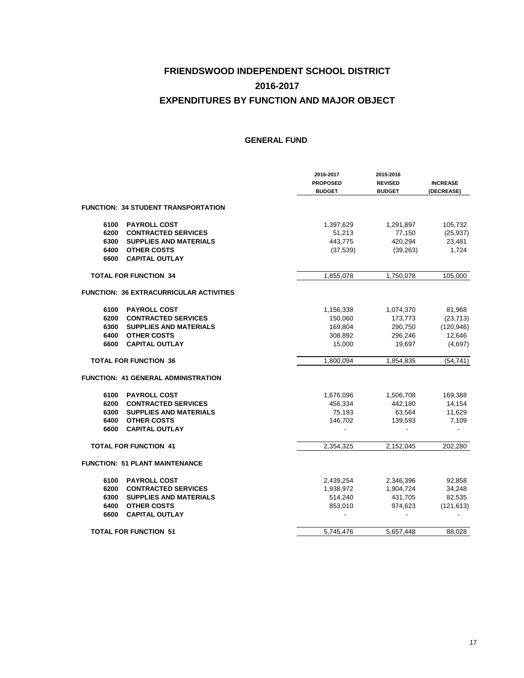|      |                                                | 2016-2017<br><b>PROPOSED</b><br><b>BUDGET</b> | 2015-2016<br><b>REVISED</b><br><b>BUDGET</b> | <b>INCREASE</b><br>(DECREASE) |
|------|------------------------------------------------|-----------------------------------------------|----------------------------------------------|-------------------------------|
|      | <b>FUNCTION: 34 STUDENT TRANSPORTATION</b>     |                                               |                                              |                               |
| 6100 | <b>PAYROLL COST</b>                            | 1,397,629                                     | 1,291,897                                    | 105,732                       |
| 6200 | <b>CONTRACTED SERVICES</b>                     | 51,213                                        | 77,150                                       | (25, 937)                     |
| 6300 | <b>SUPPLIES AND MATERIALS</b>                  | 443,775                                       | 420,294                                      | 23,481                        |
| 6400 | <b>OTHER COSTS</b>                             | (37, 539)                                     | (39, 263)                                    | 1,724                         |
| 6600 | <b>CAPITAL OUTLAY</b>                          |                                               |                                              |                               |
|      | <b>TOTAL FOR FUNCTION 34</b>                   | 1,855,078                                     | 1,750,078                                    | 105,000                       |
|      | <b>FUNCTION: 36 EXTRACURRICULAR ACTIVITIES</b> |                                               |                                              |                               |
| 6100 | <b>PAYROLL COST</b>                            | 1,156,338                                     | 1,074,370                                    | 81,968                        |
| 6200 | <b>CONTRACTED SERVICES</b>                     | 150,060                                       | 173,773                                      | (23, 713)                     |
| 6300 | <b>SUPPLIES AND MATERIALS</b>                  | 169,804                                       | 290,750                                      | (120, 946)                    |
| 6400 | <b>OTHER COSTS</b>                             | 308,892                                       | 296,246                                      | 12,646                        |
| 6600 | <b>CAPITAL OUTLAY</b>                          | 15,000                                        | 19,697                                       | (4,697)                       |
|      | <b>TOTAL FOR FUNCTION 36</b>                   | 1,800,094                                     | 1,854,835                                    | (54, 741)                     |
|      | FUNCTION: 41 GENERAL ADMINISTRATION            |                                               |                                              |                               |
| 6100 | <b>PAYROLL COST</b>                            | 1,676,096                                     | 1,506,708                                    | 169,388                       |
| 6200 | <b>CONTRACTED SERVICES</b>                     | 456,334                                       | 442,180                                      | 14,154                        |
| 6300 | <b>SUPPLIES AND MATERIALS</b>                  | 75,193                                        | 63,564                                       | 11,629                        |
| 6400 | <b>OTHER COSTS</b>                             | 146,702                                       | 139,593                                      | 7,109                         |
| 6600 | <b>CAPITAL OUTLAY</b>                          |                                               |                                              |                               |
|      | <b>TOTAL FOR FUNCTION 41</b>                   | 2,354,325                                     | 2,152,045                                    | 202,280                       |
|      | <b>FUNCTION: 51 PLANT MAINTENANCE</b>          |                                               |                                              |                               |
| 6100 | <b>PAYROLL COST</b>                            | 2,439,254                                     | 2,346,396                                    | 92,858                        |
| 6200 | <b>CONTRACTED SERVICES</b>                     | 1,938,972                                     | 1,904,724                                    | 34,248                        |
| 6300 | <b>SUPPLIES AND MATERIALS</b>                  | 514,240                                       | 431,705                                      | 82,535                        |
| 6400 | <b>OTHER COSTS</b>                             | 853,010                                       | 974,623                                      | (121, 613)                    |
| 6600 | <b>CAPITAL OUTLAY</b>                          |                                               |                                              |                               |
|      | <b>TOTAL FOR FUNCTION 51</b>                   | 5.745.476                                     | 5,657,448                                    | 88,028                        |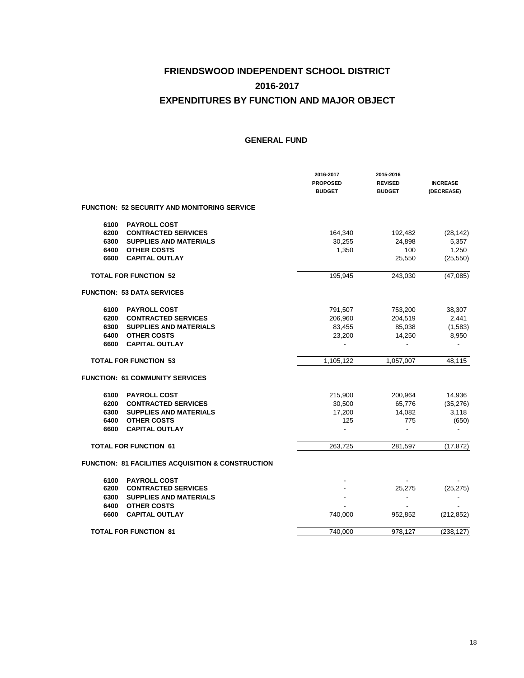|      |                                                     | 2016-2017<br><b>PROPOSED</b><br><b>BUDGET</b> | 2015-2016<br><b>REVISED</b><br><b>BUDGET</b> | <b>INCREASE</b><br>(DECREASE) |
|------|-----------------------------------------------------|-----------------------------------------------|----------------------------------------------|-------------------------------|
|      | <b>FUNCTION: 52 SECURITY AND MONITORING SERVICE</b> |                                               |                                              |                               |
| 6100 | <b>PAYROLL COST</b>                                 |                                               |                                              |                               |
| 6200 | <b>CONTRACTED SERVICES</b>                          | 164,340                                       | 192,482                                      | (28, 142)                     |
| 6300 | <b>SUPPLIES AND MATERIALS</b>                       | 30,255                                        | 24,898                                       | 5,357                         |
| 6400 | <b>OTHER COSTS</b>                                  | 1,350                                         | 100                                          | 1,250                         |
| 6600 | <b>CAPITAL OUTLAY</b>                               |                                               | 25,550                                       | (25, 550)                     |
|      | <b>TOTAL FOR FUNCTION 52</b>                        | 195,945                                       | 243,030                                      | (47, 085)                     |
|      | <b>FUNCTION: 53 DATA SERVICES</b>                   |                                               |                                              |                               |
| 6100 | <b>PAYROLL COST</b>                                 | 791,507                                       | 753,200                                      | 38,307                        |
| 6200 | <b>CONTRACTED SERVICES</b>                          | 206,960                                       | 204,519                                      | 2,441                         |
| 6300 | <b>SUPPLIES AND MATERIALS</b>                       | 83,455                                        | 85,038                                       | (1,583)                       |
| 6400 | <b>OTHER COSTS</b>                                  | 23,200                                        | 14,250                                       | 8,950                         |
| 6600 | <b>CAPITAL OUTLAY</b>                               |                                               |                                              |                               |
|      | <b>TOTAL FOR FUNCTION 53</b>                        | 1,105,122                                     | 1,057,007                                    | 48,115                        |
|      | <b>FUNCTION: 61 COMMUNITY SERVICES</b>              |                                               |                                              |                               |
| 6100 | <b>PAYROLL COST</b>                                 | 215,900                                       | 200,964                                      | 14,936                        |
| 6200 | <b>CONTRACTED SERVICES</b>                          | 30,500                                        | 65,776                                       | (35, 276)                     |
| 6300 | <b>SUPPLIES AND MATERIALS</b>                       | 17,200                                        | 14,082                                       | 3,118                         |
| 6400 | <b>OTHER COSTS</b>                                  | 125                                           | 775                                          | (650)                         |
| 6600 | <b>CAPITAL OUTLAY</b>                               |                                               |                                              |                               |
|      | <b>TOTAL FOR FUNCTION 61</b>                        | 263,725                                       | 281,597                                      | (17, 872)                     |
|      | FUNCTION: 81 FACILITIES ACQUISITION & CONSTRUCTION  |                                               |                                              |                               |
| 6100 | <b>PAYROLL COST</b>                                 |                                               |                                              |                               |
| 6200 | <b>CONTRACTED SERVICES</b>                          |                                               | 25,275                                       | (25, 275)                     |
| 6300 | <b>SUPPLIES AND MATERIALS</b>                       |                                               |                                              |                               |
| 6400 | <b>OTHER COSTS</b>                                  |                                               |                                              |                               |
| 6600 | <b>CAPITAL OUTLAY</b>                               | 740,000                                       | 952,852                                      | (212, 852)                    |
|      | <b>TOTAL FOR FUNCTION 81</b>                        | 740,000                                       | 978,127                                      | (238, 127)                    |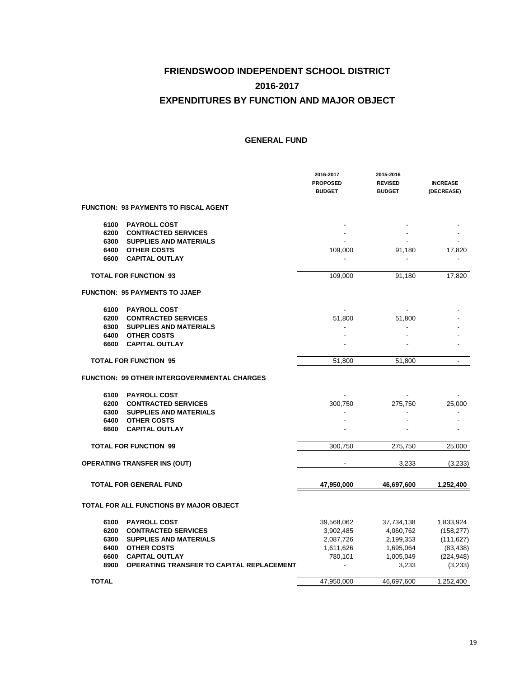|              |                                                  | 2016-2017<br><b>PROPOSED</b><br><b>BUDGET</b> | 2015-2016<br><b>REVISED</b><br><b>BUDGET</b> | <b>INCREASE</b><br>(DECREASE) |
|--------------|--------------------------------------------------|-----------------------------------------------|----------------------------------------------|-------------------------------|
|              | <b>FUNCTION: 93 PAYMENTS TO FISCAL AGENT</b>     |                                               |                                              |                               |
| 6100         | <b>PAYROLL COST</b>                              |                                               |                                              |                               |
| 6200         | <b>CONTRACTED SERVICES</b>                       |                                               |                                              |                               |
| 6300         | <b>SUPPLIES AND MATERIALS</b>                    |                                               |                                              |                               |
| 6400<br>6600 | <b>OTHER COSTS</b><br><b>CAPITAL OUTLAY</b>      | 109,000                                       | 91,180                                       | 17,820                        |
|              |                                                  |                                               |                                              |                               |
|              | <b>TOTAL FOR FUNCTION 93</b>                     | 109,000                                       | 91,180                                       | 17,820                        |
|              | <b>FUNCTION: 95 PAYMENTS TO JJAEP</b>            |                                               |                                              |                               |
| 6100         | <b>PAYROLL COST</b>                              |                                               |                                              |                               |
| 6200         | <b>CONTRACTED SERVICES</b>                       | 51,800                                        | 51,800                                       |                               |
| 6300         | <b>SUPPLIES AND MATERIALS</b>                    |                                               |                                              |                               |
| 6400         | <b>OTHER COSTS</b>                               |                                               |                                              |                               |
| 6600         | <b>CAPITAL OUTLAY</b>                            |                                               |                                              |                               |
|              | <b>TOTAL FOR FUNCTION 95</b>                     | 51,800                                        | 51,800                                       | $\blacksquare$                |
|              | FUNCTION: 99 OTHER INTERGOVERNMENTAL CHARGES     |                                               |                                              |                               |
| 6100         | <b>PAYROLL COST</b>                              |                                               |                                              |                               |
| 6200         | <b>CONTRACTED SERVICES</b>                       | 300,750                                       | 275,750                                      | 25,000                        |
| 6300         | <b>SUPPLIES AND MATERIALS</b>                    |                                               |                                              |                               |
| 6400         | <b>OTHER COSTS</b>                               |                                               |                                              |                               |
| 6600         | <b>CAPITAL OUTLAY</b>                            |                                               |                                              |                               |
|              | <b>TOTAL FOR FUNCTION 99</b>                     | 300,750                                       | 275,750                                      | 25,000                        |
|              | <b>OPERATING TRANSFER INS (OUT)</b>              | $\blacksquare$                                | 3.233                                        | (3,233)                       |
|              | <b>TOTAL FOR GENERAL FUND</b>                    | 47,950,000                                    | 46,697,600                                   | 1,252,400                     |
|              |                                                  |                                               |                                              |                               |
|              | TOTAL FOR ALL FUNCTIONS BY MAJOR OBJECT          |                                               |                                              |                               |
| 6100         | <b>PAYROLL COST</b>                              | 39,568,062                                    | 37,734,138                                   | 1,833,924                     |
| 6200         | <b>CONTRACTED SERVICES</b>                       | 3,902,485                                     | 4,060,762                                    | (158, 277)                    |
| 6300         | <b>SUPPLIES AND MATERIALS</b>                    | 2,087,726                                     | 2,199,353                                    | (111, 627)                    |
| 6400         | <b>OTHER COSTS</b>                               | 1,611,626                                     | 1,695,064                                    | (83, 438)                     |
| 6600         | <b>CAPITAL OUTLAY</b>                            | 780,101                                       | 1,005,049                                    | (224, 948)                    |
| 8900         | <b>OPERATING TRANSFER TO CAPITAL REPLACEMENT</b> |                                               | 3,233                                        | (3,233)                       |
| <b>TOTAL</b> |                                                  | 47,950,000                                    | 46,697,600                                   | 1,252,400                     |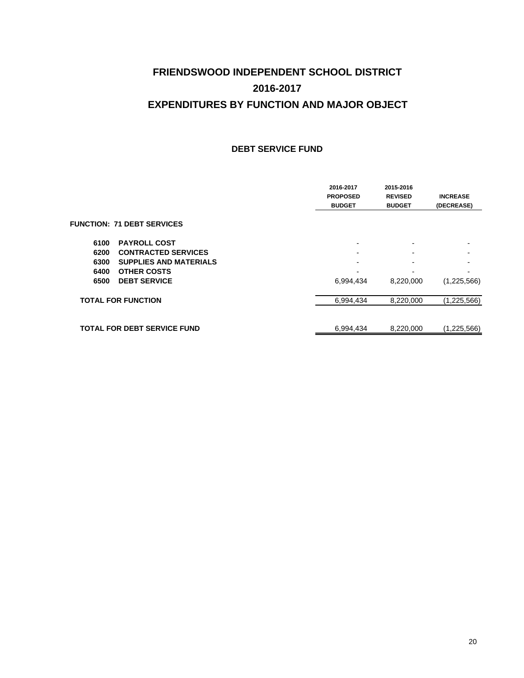#### **DEBT SERVICE FUND**

|                                       | 2016-2017<br><b>PROPOSED</b><br><b>BUDGET</b> | 2015-2016<br><b>REVISED</b><br><b>BUDGET</b> | <b>INCREASE</b><br>(DECREASE) |
|---------------------------------------|-----------------------------------------------|----------------------------------------------|-------------------------------|
| <b>FUNCTION: 71 DEBT SERVICES</b>     |                                               |                                              |                               |
| <b>PAYROLL COST</b><br>6100           |                                               | $\overline{\phantom{a}}$                     |                               |
| <b>CONTRACTED SERVICES</b><br>6200    | $\overline{\phantom{0}}$                      | $\blacksquare$                               |                               |
| <b>SUPPLIES AND MATERIALS</b><br>6300 |                                               |                                              |                               |
| <b>OTHER COSTS</b><br>6400            |                                               |                                              |                               |
| <b>DEBT SERVICE</b><br>6500           | 6,994,434                                     | 8,220,000                                    | (1,225,566)                   |
| <b>TOTAL FOR FUNCTION</b>             | 6.994.434                                     | 8,220,000                                    | (1,225,566)                   |
|                                       |                                               |                                              |                               |
| <b>TOTAL FOR DEBT SERVICE FUND</b>    | 6,994,434                                     | 8,220,000                                    | (1,225,566)                   |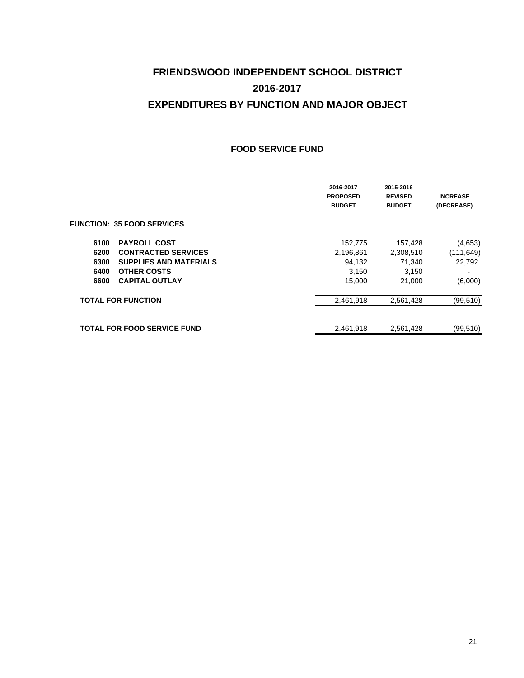#### **FOOD SERVICE FUND**

|      |                                    | 2016-2017<br><b>PROPOSED</b><br><b>BUDGET</b> | 2015-2016<br><b>REVISED</b><br><b>BUDGET</b> | <b>INCREASE</b><br>(DECREASE) |
|------|------------------------------------|-----------------------------------------------|----------------------------------------------|-------------------------------|
|      | <b>FUNCTION: 35 FOOD SERVICES</b>  |                                               |                                              |                               |
| 6100 | <b>PAYROLL COST</b>                | 152,775                                       | 157,428                                      | (4,653)                       |
| 6200 | <b>CONTRACTED SERVICES</b>         | 2,196,861                                     | 2,308,510                                    | (111, 649)                    |
| 6300 | <b>SUPPLIES AND MATERIALS</b>      | 94,132                                        | 71,340                                       | 22,792                        |
| 6400 | <b>OTHER COSTS</b>                 | 3,150                                         | 3,150                                        | $\overline{\phantom{0}}$      |
| 6600 | <b>CAPITAL OUTLAY</b>              | 15,000                                        | 21,000                                       | (6,000)                       |
|      | <b>TOTAL FOR FUNCTION</b>          | 2,461,918                                     | 2,561,428                                    | (99, 510)                     |
|      | <b>TOTAL FOR FOOD SERVICE FUND</b> | 2,461,918                                     | 2,561,428                                    | (99,510)                      |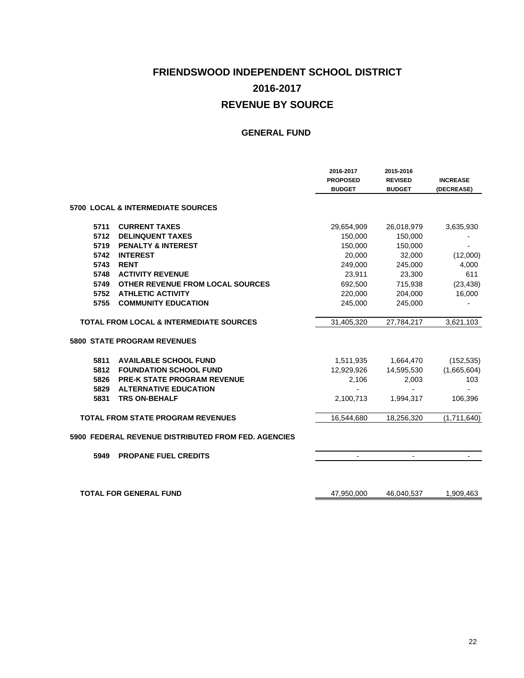## **FRIENDSWOOD INDEPENDENT SCHOOL DISTRICT REVENUE BY SOURCE 2016-2017**

|      |                                                     | 2016-2017<br><b>PROPOSED</b><br><b>BUDGET</b> | 2015-2016<br><b>REVISED</b><br><b>BUDGET</b> | <b>INCREASE</b><br>(DECREASE) |
|------|-----------------------------------------------------|-----------------------------------------------|----------------------------------------------|-------------------------------|
|      | <b>5700 LOCAL &amp; INTERMEDIATE SOURCES</b>        |                                               |                                              |                               |
| 5711 | <b>CURRENT TAXES</b>                                | 29,654,909                                    | 26,018,979                                   | 3,635,930                     |
| 5712 | <b>DELINQUENT TAXES</b>                             | 150,000                                       | 150,000                                      |                               |
| 5719 | <b>PENALTY &amp; INTEREST</b>                       | 150,000                                       | 150,000                                      |                               |
| 5742 | <b>INTEREST</b>                                     | 20,000                                        | 32,000                                       | (12,000)                      |
| 5743 | <b>RENT</b>                                         | 249,000                                       | 245,000                                      | 4,000                         |
| 5748 | <b>ACTIVITY REVENUE</b>                             | 23,911                                        | 23,300                                       | 611                           |
| 5749 | OTHER REVENUE FROM LOCAL SOURCES                    | 692,500                                       | 715,938                                      | (23, 438)                     |
| 5752 | <b>ATHLETIC ACTIVITY</b>                            | 220,000                                       | 204,000                                      | 16,000                        |
| 5755 | <b>COMMUNITY EDUCATION</b>                          | 245,000                                       | 245,000                                      |                               |
|      | <b>TOTAL FROM LOCAL &amp; INTERMEDIATE SOURCES</b>  | 31,405,320                                    | 27,784,217                                   | 3,621,103                     |
|      | <b>5800 STATE PROGRAM REVENUES</b>                  |                                               |                                              |                               |
| 5811 | <b>AVAILABLE SCHOOL FUND</b>                        | 1,511,935                                     | 1,664,470                                    | (152, 535)                    |
| 5812 | <b>FOUNDATION SCHOOL FUND</b>                       | 12,929,926                                    | 14,595,530                                   | (1,665,604)                   |
| 5826 | <b>PRE-K STATE PROGRAM REVENUE</b>                  | 2,106                                         | 2,003                                        | 103                           |
| 5829 | <b>ALTERNATIVE EDUCATION</b>                        |                                               |                                              |                               |
| 5831 | <b>TRS ON-BEHALF</b>                                | 2,100,713                                     | 1,994,317                                    | 106,396                       |
|      | <b>TOTAL FROM STATE PROGRAM REVENUES</b>            | 16,544,680                                    | 18,256,320                                   | (1,711,640)                   |
|      | 5900 FEDERAL REVENUE DISTRIBUTED FROM FED. AGENCIES |                                               |                                              |                               |
| 5949 | <b>PROPANE FUEL CREDITS</b>                         | $\blacksquare$                                | $\overline{\phantom{a}}$                     | $\blacksquare$                |
|      | <b>TOTAL FOR GENERAL FUND</b>                       | 47.950.000                                    | 46,040,537                                   | 1,909,463                     |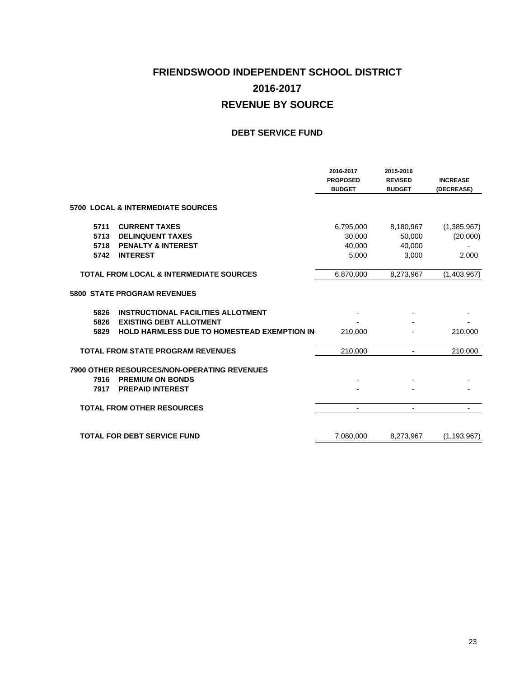## **FRIENDSWOOD INDEPENDENT SCHOOL DISTRICT REVENUE BY SOURCE 2016-2017**

#### **DEBT SERVICE FUND**

|                                                                                                                          | 2016-2017<br><b>PROPOSED</b><br><b>BUDGET</b> | 2015-2016<br><b>REVISED</b><br><b>BUDGET</b> | <b>INCREASE</b><br>(DECREASE) |
|--------------------------------------------------------------------------------------------------------------------------|-----------------------------------------------|----------------------------------------------|-------------------------------|
| <b>5700 LOCAL &amp; INTERMEDIATE SOURCES</b>                                                                             |                                               |                                              |                               |
| 5711<br><b>CURRENT TAXES</b>                                                                                             | 6,795,000                                     | 8,180,967                                    | (1,385,967)                   |
| 5713<br><b>DELINQUENT TAXES</b>                                                                                          | 30,000                                        | 50,000                                       | (20,000)                      |
| <b>PENALTY &amp; INTEREST</b><br>5718                                                                                    | 40,000                                        | 40,000                                       |                               |
| <b>INTEREST</b><br>5742                                                                                                  | 5,000                                         | 3,000                                        | 2,000                         |
| <b>TOTAL FROM LOCAL &amp; INTERMEDIATE SOURCES</b>                                                                       | 6,870,000                                     | 8,273,967                                    | (1,403,967)                   |
| <b>5800 STATE PROGRAM REVENUES</b>                                                                                       |                                               |                                              |                               |
| 5826<br><b>INSTRUCTIONAL FACILITIES ALLOTMENT</b>                                                                        |                                               |                                              |                               |
| 5826<br><b>EXISTING DEBT ALLOTMENT</b>                                                                                   |                                               |                                              |                               |
| <b>HOLD HARMLESS DUE TO HOMESTEAD EXEMPTION IN</b><br>5829                                                               | 210,000                                       |                                              | 210,000                       |
| <b>TOTAL FROM STATE PROGRAM REVENUES</b>                                                                                 | 210,000                                       | $\overline{\phantom{a}}$                     | 210,000                       |
| <b>7900 OTHER RESOURCES/NON-OPERATING REVENUES</b><br>7916<br><b>PREMIUM ON BONDS</b><br><b>PREPAID INTEREST</b><br>7917 |                                               |                                              |                               |
| <b>TOTAL FROM OTHER RESOURCES</b>                                                                                        |                                               |                                              |                               |
| <b>TOTAL FOR DEBT SERVICE FUND</b>                                                                                       | 7,080,000                                     | 8,273,967                                    | (1, 193, 967)                 |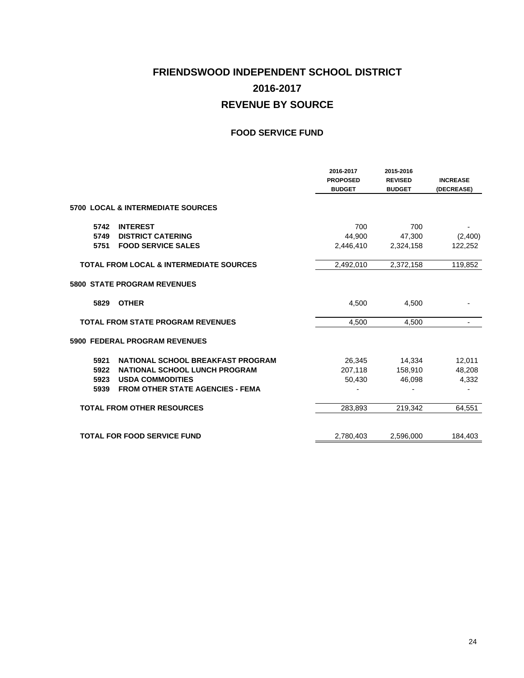## **FRIENDSWOOD INDEPENDENT SCHOOL DISTRICT 2016-2017 REVENUE BY SOURCE**

#### **FOOD SERVICE FUND**

|      |                                                    | 2016-2017<br><b>PROPOSED</b><br><b>BUDGET</b> | 2015-2016<br><b>REVISED</b><br><b>BUDGET</b> | <b>INCREASE</b><br>(DECREASE) |
|------|----------------------------------------------------|-----------------------------------------------|----------------------------------------------|-------------------------------|
|      | <b>5700 LOCAL &amp; INTERMEDIATE SOURCES</b>       |                                               |                                              |                               |
| 5742 | <b>INTEREST</b>                                    | 700                                           | 700                                          |                               |
| 5749 | <b>DISTRICT CATERING</b>                           | 44,900                                        | 47,300                                       | (2,400)                       |
| 5751 | <b>FOOD SERVICE SALES</b>                          | 2,446,410                                     | 2,324,158                                    | 122,252                       |
|      | <b>TOTAL FROM LOCAL &amp; INTERMEDIATE SOURCES</b> | 2,492,010                                     | 2,372,158                                    | 119,852                       |
|      | <b>5800 STATE PROGRAM REVENUES</b>                 |                                               |                                              |                               |
| 5829 | <b>OTHER</b>                                       | 4,500                                         | 4,500                                        |                               |
|      | <b>TOTAL FROM STATE PROGRAM REVENUES</b>           | 4.500                                         | 4,500                                        |                               |
|      | <b>5900 FEDERAL PROGRAM REVENUES</b>               |                                               |                                              |                               |
| 5921 | NATIONAL SCHOOL BREAKFAST PROGRAM                  | 26,345                                        | 14,334                                       | 12,011                        |
| 5922 | <b>NATIONAL SCHOOL LUNCH PROGRAM</b>               | 207,118                                       | 158,910                                      | 48,208                        |
| 5923 | <b>USDA COMMODITIES</b>                            | 50,430                                        | 46,098                                       | 4,332                         |
| 5939 | <b>FROM OTHER STATE AGENCIES - FEMA</b>            |                                               |                                              |                               |
|      | <b>TOTAL FROM OTHER RESOURCES</b>                  | 283,893                                       | 219.342                                      | 64.551                        |
|      | <b>TOTAL FOR FOOD SERVICE FUND</b>                 | 2,780,403                                     | 2,596,000                                    | 184,403                       |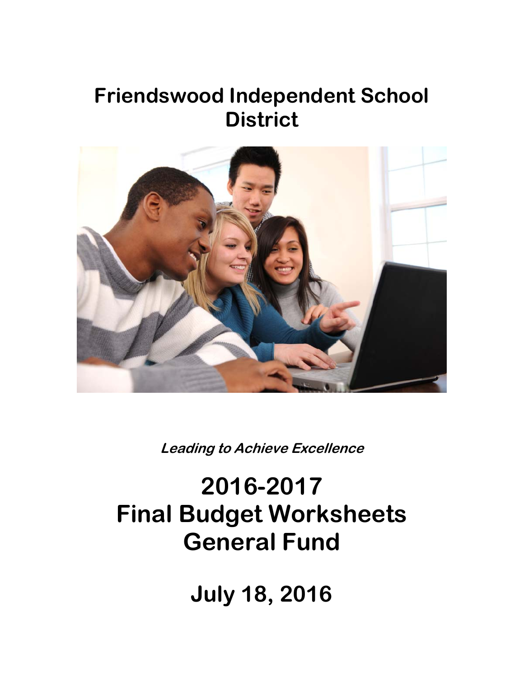## **Friendswood Independent School District**



**Leading to Achieve Excellence** 

# **2016-2017 Final Budget Worksheets General Fund**

**July 18, 2016**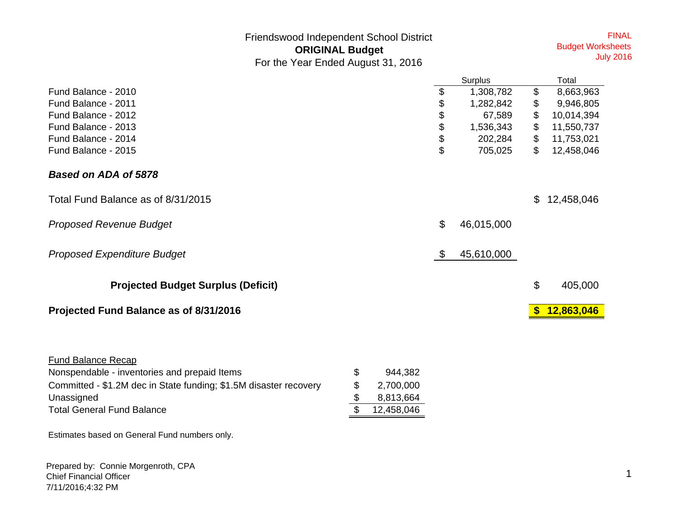Friendswood Independent School District **ORIGINAL Budget** 

For the Year Ended August 31, 2016

FINAL Budget Worksheets July 2016

|                                                                   |                  | Surplus          |                           | Total      |
|-------------------------------------------------------------------|------------------|------------------|---------------------------|------------|
| Fund Balance - 2010                                               |                  | \$<br>1,308,782  | \$                        | 8,663,963  |
| Fund Balance - 2011                                               |                  | \$<br>1,282,842  | \$                        | 9,946,805  |
| Fund Balance - 2012                                               |                  | \$<br>67,589     | \$                        | 10,014,394 |
| Fund Balance - 2013                                               |                  | \$<br>1,536,343  | \$                        | 11,550,737 |
| Fund Balance - 2014                                               |                  | \$<br>202,284    | \$                        | 11,753,021 |
| Fund Balance - 2015                                               |                  | \$<br>705,025    | \$                        | 12,458,046 |
| Based on ADA of 5878                                              |                  |                  |                           |            |
| Total Fund Balance as of 8/31/2015                                |                  |                  | \$                        | 12,458,046 |
| <b>Proposed Revenue Budget</b>                                    |                  | \$<br>46,015,000 |                           |            |
| <b>Proposed Expenditure Budget</b>                                |                  | \$<br>45,610,000 |                           |            |
| <b>Projected Budget Surplus (Deficit)</b>                         |                  |                  | $\mathfrak{S}$            | 405,000    |
| Projected Fund Balance as of 8/31/2016                            |                  |                  | $\boldsymbol{\mathsf{s}}$ | 12,863,046 |
|                                                                   |                  |                  |                           |            |
| <b>Fund Balance Recap</b>                                         |                  |                  |                           |            |
| Nonspendable - inventories and prepaid Items                      | \$<br>944,382    |                  |                           |            |
| Committed - \$1.2M dec in State funding; \$1.5M disaster recovery | \$<br>2,700,000  |                  |                           |            |
| Unassigned                                                        | \$<br>8,813,664  |                  |                           |            |
| <b>Total General Fund Balance</b>                                 | \$<br>12,458,046 |                  |                           |            |
| Estimates based on General Fund numbers only.                     |                  |                  |                           |            |

Prepared by: Connie Morgenroth, CPA Chief Financial Officer 7/11/2016;4:32 PM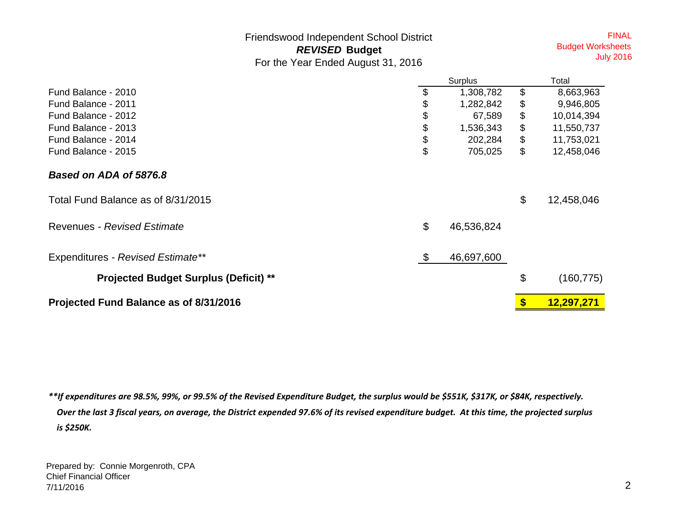Friendswood Independent School District *REVISED* **Budget**  For the Year Ended August 31, 2016

FINALBudget Worksheets July 2016

|                                              | Surplus          |                   | Total      |
|----------------------------------------------|------------------|-------------------|------------|
| Fund Balance - 2010                          | \$<br>1,308,782  | \$                | 8,663,963  |
| Fund Balance - 2011                          | \$<br>1,282,842  | \$                | 9,946,805  |
| Fund Balance - 2012                          | \$<br>67,589     | \$                | 10,014,394 |
| Fund Balance - 2013                          | \$<br>1,536,343  | \$                | 11,550,737 |
| Fund Balance - 2014                          | \$<br>202,284    | \$                | 11,753,021 |
| Fund Balance - 2015                          | \$<br>705,025    | \$                | 12,458,046 |
| Based on ADA of 5876.8                       |                  |                   |            |
| Total Fund Balance as of 8/31/2015           |                  | \$                | 12,458,046 |
| Revenues - Revised Estimate                  | \$<br>46,536,824 |                   |            |
| Expenditures - Revised Estimate**            | \$<br>46,697,600 |                   |            |
| <b>Projected Budget Surplus (Deficit) **</b> |                  | \$                | (160, 775) |
| Projected Fund Balance as of 8/31/2016       |                  | $\boldsymbol{\$}$ | 12,297,271 |

\*\*If expenditures are 98.5%, 99%, or 99.5% of the Revised Expenditure Budget, the surplus would be \$551K, \$317K, or \$84K, respectively. Over the last 3 fiscal years, on average, the District expended 97.6% of its revised expenditure budget. At this time, the projected surplus *is \$250K.*

Prepared by: Connie Morgenroth, CPA Chief Financial Officer7/11/2016 2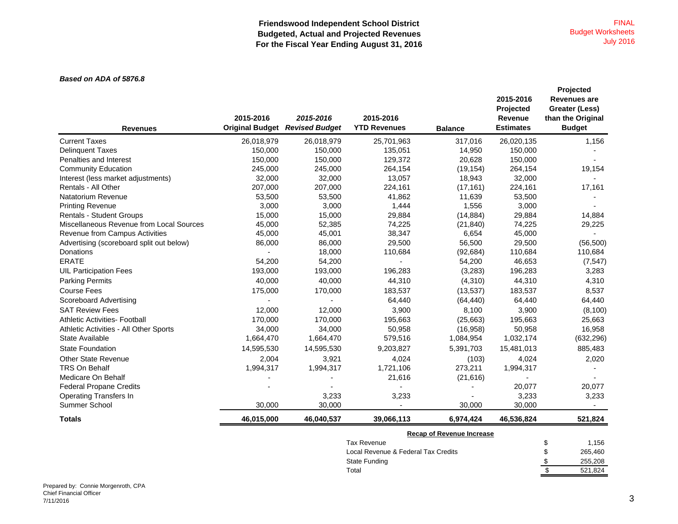#### *Based on ADA of 5876.8*

| 26,018,979<br>150,000<br>150,000<br>245,000<br>32,000<br>207,000<br>53,500<br>3,000<br>15,000<br>45,000<br>45,000<br>86,000 | 26,018,979<br>150,000<br>150,000<br>245,000<br>32,000<br>207,000<br>53,500<br>3,000<br>15,000<br>52,385<br>45,001 | 25,701,963<br>135,051<br>129,372<br>264,154<br>13,057<br>224,161<br>41,862<br>1,444<br>29,884<br>74,225 | 317,016<br>14,950<br>20,628<br>(19, 154)<br>18,943<br>(17, 161)<br>11,639<br>1,556<br>(14, 884) | 26,020,135<br>150,000<br>150,000<br>264,154<br>32,000<br>224,161<br>53,500<br>3,000<br>29,884 | 1,156<br>19,154<br>17,161 |
|-----------------------------------------------------------------------------------------------------------------------------|-------------------------------------------------------------------------------------------------------------------|---------------------------------------------------------------------------------------------------------|-------------------------------------------------------------------------------------------------|-----------------------------------------------------------------------------------------------|---------------------------|
|                                                                                                                             |                                                                                                                   |                                                                                                         |                                                                                                 |                                                                                               |                           |
|                                                                                                                             |                                                                                                                   |                                                                                                         |                                                                                                 |                                                                                               |                           |
|                                                                                                                             |                                                                                                                   |                                                                                                         |                                                                                                 |                                                                                               |                           |
|                                                                                                                             |                                                                                                                   |                                                                                                         |                                                                                                 |                                                                                               |                           |
|                                                                                                                             |                                                                                                                   |                                                                                                         |                                                                                                 |                                                                                               |                           |
|                                                                                                                             |                                                                                                                   |                                                                                                         |                                                                                                 |                                                                                               |                           |
|                                                                                                                             |                                                                                                                   |                                                                                                         |                                                                                                 |                                                                                               |                           |
|                                                                                                                             |                                                                                                                   |                                                                                                         |                                                                                                 |                                                                                               |                           |
|                                                                                                                             |                                                                                                                   |                                                                                                         |                                                                                                 |                                                                                               | 14,884                    |
|                                                                                                                             |                                                                                                                   |                                                                                                         | (21, 840)                                                                                       | 74,225                                                                                        | 29,225                    |
|                                                                                                                             |                                                                                                                   | 38,347                                                                                                  | 6,654                                                                                           | 45,000                                                                                        |                           |
|                                                                                                                             | 86,000                                                                                                            | 29,500                                                                                                  | 56,500                                                                                          | 29,500                                                                                        | (56, 500)                 |
|                                                                                                                             | 18,000                                                                                                            | 110,684                                                                                                 | (92, 684)                                                                                       | 110,684                                                                                       | 110,684                   |
| 54,200                                                                                                                      | 54,200                                                                                                            |                                                                                                         | 54,200                                                                                          | 46,653                                                                                        | (7, 547)                  |
| 193,000                                                                                                                     | 193,000                                                                                                           | 196,283                                                                                                 | (3, 283)                                                                                        | 196,283                                                                                       | 3,283                     |
| 40,000                                                                                                                      | 40,000                                                                                                            | 44,310                                                                                                  | (4, 310)                                                                                        | 44,310                                                                                        | 4,310                     |
| 175,000                                                                                                                     | 170,000                                                                                                           | 183,537                                                                                                 | (13, 537)                                                                                       | 183,537                                                                                       | 8,537                     |
|                                                                                                                             |                                                                                                                   | 64,440                                                                                                  | (64, 440)                                                                                       | 64,440                                                                                        | 64,440                    |
| 12,000                                                                                                                      | 12,000                                                                                                            | 3,900                                                                                                   | 8,100                                                                                           | 3,900                                                                                         | (8, 100)                  |
| 170,000                                                                                                                     | 170,000                                                                                                           | 195,663                                                                                                 | (25,663)                                                                                        | 195,663                                                                                       | 25,663                    |
| 34,000                                                                                                                      | 34,000                                                                                                            | 50,958                                                                                                  | (16, 958)                                                                                       | 50,958                                                                                        | 16,958                    |
|                                                                                                                             | 1,664,470                                                                                                         | 579,516                                                                                                 | 1,084,954                                                                                       | 1,032,174                                                                                     | (632, 296)                |
|                                                                                                                             | 14,595,530                                                                                                        | 9,203,827                                                                                               | 5,391,703                                                                                       | 15,481,013                                                                                    | 885,483                   |
| 2,004                                                                                                                       | 3,921                                                                                                             | 4,024                                                                                                   | (103)                                                                                           | 4,024                                                                                         | 2,020                     |
|                                                                                                                             | 1,994,317                                                                                                         | 1,721,106                                                                                               | 273,211                                                                                         | 1,994,317                                                                                     |                           |
|                                                                                                                             |                                                                                                                   | 21,616                                                                                                  | (21, 616)                                                                                       |                                                                                               |                           |
|                                                                                                                             |                                                                                                                   |                                                                                                         |                                                                                                 | 20,077                                                                                        | 20,077                    |
|                                                                                                                             | 3,233                                                                                                             | 3,233                                                                                                   |                                                                                                 | 3,233                                                                                         | 3,233                     |
| 30,000                                                                                                                      | 30,000                                                                                                            |                                                                                                         | 30,000                                                                                          | 30,000                                                                                        |                           |
|                                                                                                                             | 46,040,537                                                                                                        | 39,066,113                                                                                              | 6,974,424                                                                                       | 46,536,824                                                                                    | 521,824                   |
|                                                                                                                             | 1,664,470<br>14,595,530<br>1,994,317<br>46,015,000                                                                |                                                                                                         |                                                                                                 | <b>Docon of Dovonus Increases</b>                                                             |                           |

| Recap of Revenue Increase           |         |
|-------------------------------------|---------|
| Tax Revenue                         | 1.156   |
| Local Revenue & Federal Tax Credits | 265.460 |
| State Funding                       | 255.208 |
| Total                               | 521.824 |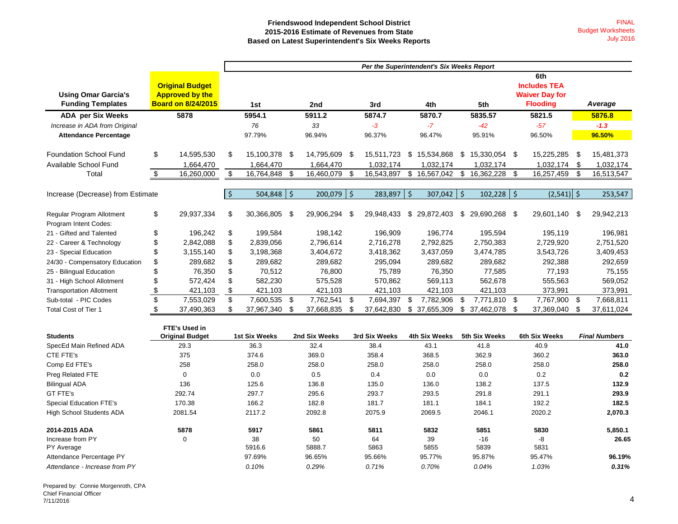#### **Friendswood Independent School District 2015-2016 Estimate of Revenues from State Based on Latest Superintendent's Six Weeks Reports**

|                                   |                           |                                                                               | Per the Superintendent's Six Weeks Report |                      |              |               |              |               |     |               |    |               |     |                                                     |      |                      |
|-----------------------------------|---------------------------|-------------------------------------------------------------------------------|-------------------------------------------|----------------------|--------------|---------------|--------------|---------------|-----|---------------|----|---------------|-----|-----------------------------------------------------|------|----------------------|
| <b>Using Omar Garcia's</b>        |                           | <b>Original Budget</b><br><b>Approved by the</b><br><b>Board on 8/24/2015</b> |                                           |                      |              |               |              |               |     |               |    |               |     | 6th<br><b>Includes TEA</b><br><b>Waiver Day for</b> |      |                      |
| <b>Funding Templates</b>          |                           |                                                                               |                                           | 1st                  |              | 2nd           |              | 3rd           |     | 4th           |    | 5th           |     | <b>Flooding</b>                                     |      | Average              |
| <b>ADA per Six Weeks</b>          |                           | 5878                                                                          |                                           | 5954.1               |              | 5911.2        |              | 5874.7        |     | 5870.7        |    | 5835.57       |     | 5821.5                                              |      | 5876.8               |
| Increase in ADA from Original     |                           |                                                                               |                                           | 76                   |              | 33            |              | $-3$          |     | $-7$          |    | $-42$         |     | $-57$                                               |      | $-1.3$               |
| <b>Attendance Percentage</b>      |                           |                                                                               |                                           | 97.79%               |              | 96.94%        |              | 96.37%        |     | 96.47%        |    | 95.91%        |     | 96.50%                                              |      | 96.50%               |
| <b>Foundation School Fund</b>     | \$                        | 14,595,530                                                                    | \$                                        | 15,100,378           | \$           | 14,795,609 \$ |              | 15,511,723    | \$  | 15,534,868    | \$ | 15,330,054 \$ |     | 15,225,285                                          | - \$ | 15,481,373           |
| Available School Fund             |                           | 1,664,470                                                                     |                                           | 1,664,470            |              | 1,664,470     |              | 1,032,174     |     | 1,032,174     |    | 1,032,174     |     | 1,032,174                                           | \$   | 1,032,174            |
| Total                             | $\boldsymbol{\mathsf{S}}$ | 16,260,000                                                                    | \$                                        | 16,764,848           | \$           | 16.460.079    | \$           | 16,543,897    | \$  | 16.567.042    | \$ | 16,362,228    | -\$ | 16,257,459                                          | \$   | 16,513,547           |
| Increase (Decrease) from Estimate |                           |                                                                               | $\zeta$                                   | 504,848              | $\mathsf{S}$ | 200,079       | $\mathsf{S}$ | 283,897       | -\$ | 307,042       | Ŝ. | $102,228$ \$  |     | $(2,541)$ \$                                        |      | 253,547              |
|                                   |                           |                                                                               |                                           |                      |              |               |              |               |     |               |    |               |     |                                                     |      |                      |
| Regular Program Allotment         | \$                        | 29,937,334                                                                    | \$                                        | 30,366,805           | \$           | 29,906,294    | \$           | 29,948,433    | \$  | 29,872,403    | \$ | 29,690,268 \$ |     | 29,601,140                                          | -\$  | 29,942,213           |
| Program Intent Codes:             |                           |                                                                               |                                           |                      |              |               |              |               |     |               |    |               |     |                                                     |      |                      |
| 21 - Gifted and Talented          | \$                        | 196,242                                                                       | \$                                        | 199,584              |              | 198,142       |              | 196,909       |     | 196,774       |    | 195,594       |     | 195,119                                             |      | 196,981              |
| 22 - Career & Technology          | \$                        | 2,842,088                                                                     | \$                                        | 2,839,056            |              | 2,796,614     |              | 2,716,278     |     | 2,792,825     |    | 2,750,383     |     | 2,729,920                                           |      | 2,751,520            |
| 23 - Special Education            | \$                        | 3,155,140                                                                     | \$                                        | 3,198,368            |              | 3,404,672     |              | 3,418,362     |     | 3,437,059     |    | 3,474,785     |     | 3,543,726                                           |      | 3,409,453            |
| 24/30 - Compensatory Education    | \$                        | 289,682                                                                       | \$                                        | 289,682              |              | 289,682       |              | 295,094       |     | 289,682       |    | 289,682       |     | 292,388                                             |      | 292,659              |
| 25 - Bilingual Education          | \$                        | 76,350                                                                        | \$                                        | 70,512               |              | 76,800        |              | 75,789        |     | 76,350        |    | 77,585        |     | 77,193                                              |      | 75,155               |
| 31 - High School Allotment        | \$                        | 572,424                                                                       | \$                                        | 582,230              |              | 575,528       |              | 570,862       |     | 569,113       |    | 562,678       |     | 555,563                                             |      | 569,052              |
| <b>Transportation Allotment</b>   | $\frac{1}{2}$             | 421,103                                                                       | \$                                        | 421,103              |              | 421,103       |              | 421,103       |     | 421,103       |    | 421,103       |     | 373,991                                             |      | 373,991              |
| Sub-total - PIC Codes             | $\overline{\mathcal{S}}$  | 7,553,029                                                                     | \$                                        | 7,600,535            | -\$          | 7,762,541     | \$           | 7,694,397     | \$  | 7,782,906     | \$ | 7,771,810 \$  |     | 7,767,900 \$                                        |      | 7,668,811            |
| <b>Total Cost of Tier 1</b>       | \$                        | 37,490,363                                                                    | \$                                        | 37,967,340           | \$           | 37,668,835    | \$           | 37,642,830    |     | \$ 37,655,309 |    | \$ 37,462,078 | -\$ | 37,369,040                                          | \$   | 37,611,024           |
| <b>Students</b>                   |                           | FTE's Used in<br><b>Original Budget</b>                                       |                                           | <b>1st Six Weeks</b> |              | 2nd Six Weeks |              | 3rd Six Weeks |     | 4th Six Weeks |    | 5th Six Weeks |     | <b>6th Six Weeks</b>                                |      | <b>Final Numbers</b> |
| SpecEd Main Refined ADA           |                           | 29.3                                                                          |                                           | 36.3                 |              | 32.4          |              | 38.4          |     | 43.1          |    | 41.8          |     | 40.9                                                |      | 41.0                 |
| CTE FTE's                         |                           | 375                                                                           |                                           | 374.6                |              | 369.0         |              | 358.4         |     | 368.5         |    | 362.9         |     | 360.2                                               |      | 363.0                |
| Comp Ed FTE's                     |                           | 258                                                                           |                                           | 258.0                |              | 258.0         |              | 258.0         |     | 258.0         |    | 258.0         |     | 258.0                                               |      | 258.0                |
| Preg Related FTE                  |                           | $\Omega$                                                                      |                                           | 0.0                  |              | 0.5           |              | 0.4           |     | 0.0           |    | 0.0           |     | 0.2                                                 |      | 0.2                  |
| <b>Bilingual ADA</b>              |                           | 136                                                                           |                                           | 125.6                |              | 136.8         |              | 135.0         |     | 136.0         |    | 138.2         |     | 137.5                                               |      | 132.9                |
| <b>GT FTE's</b>                   |                           | 292.74                                                                        |                                           | 297.7                |              | 295.6         |              | 293.7         |     | 293.5         |    | 291.8         |     | 291.1                                               |      | 293.9                |
| <b>Special Education FTE's</b>    |                           | 170.38                                                                        |                                           | 166.2                |              | 182.8         |              | 181.7         |     | 181.1         |    | 184.1         |     | 192.2                                               |      | 182.5                |
| <b>High School Students ADA</b>   |                           | 2081.54                                                                       |                                           | 2117.2               |              | 2092.8        |              | 2075.9        |     | 2069.5        |    | 2046.1        |     | 2020.2                                              |      | 2,070.3              |
| 2014-2015 ADA                     |                           | 5878                                                                          |                                           | 5917                 |              | 5861          |              | 5811          |     | 5832          |    | 5851          |     | 5830                                                |      | 5,850.1              |
| Increase from PY                  |                           | $\Omega$                                                                      |                                           | 38                   |              | 50            |              | 64            |     | 39            |    | $-16$         |     | -8                                                  |      | 26.65                |
| PY Average                        |                           |                                                                               |                                           | 5916.6               |              | 5888.7        |              | 5863          |     | 5855          |    | 5839          |     | 5831                                                |      |                      |
| Attendance Percentage PY          |                           |                                                                               |                                           | 97.69%               |              | 96.65%        |              | 95.66%        |     | 95.77%        |    | 95.87%        |     | 95.47%                                              |      | 96.19%               |
| Attendance - Increase from PY     |                           |                                                                               |                                           | 0.10%                |              | 0.29%         |              | 0.71%         |     | 0.70%         |    | 0.04%         |     | 1.03%                                               |      | 0.31%                |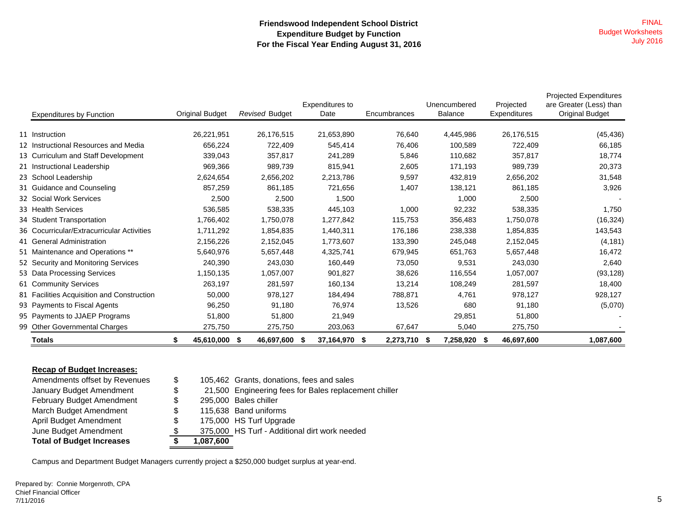#### **Friendswood Independent School District Expenditure Budget by Function For the Fiscal Year Ending August 31, 2016**

| <b>Expenditures by Function</b>            | <b>Original Budget</b> | <b>Revised Budget</b> | Expenditures to<br>Date | Encumbrances         | Unencumbered<br><b>Balance</b> | Projected<br>Expenditures | <b>Projected Expenditures</b><br>are Greater (Less) than<br><b>Original Budget</b> |
|--------------------------------------------|------------------------|-----------------------|-------------------------|----------------------|--------------------------------|---------------------------|------------------------------------------------------------------------------------|
| 11 Instruction                             | 26,221,951             | 26,176,515            | 21,653,890              | 76,640               | 4,445,986                      | 26,176,515                | (45, 436)                                                                          |
| 12 Instructional Resources and Media       | 656,224                | 722,409               | 545,414                 | 76,406               | 100,589                        | 722,409                   | 66,185                                                                             |
| 13 Curriculum and Staff Development        | 339,043                | 357,817               | 241,289                 | 5,846                | 110,682                        | 357,817                   | 18,774                                                                             |
|                                            |                        |                       |                         |                      |                                |                           |                                                                                    |
| 21 Instructional Leadership                | 969,366                | 989,739               | 815,941                 | 2,605                | 171,193                        | 989,739                   | 20,373                                                                             |
| 23 School Leadership                       | 2,624,654              | 2,656,202             | 2,213,786               | 9.597                | 432,819                        | 2,656,202                 | 31,548                                                                             |
| 31 Guidance and Counseling                 | 857,259                | 861,185               | 721,656                 | 1,407                | 138,121                        | 861,185                   | 3,926                                                                              |
| 32 Social Work Services                    | 2,500                  | 2,500                 | 1,500                   |                      | 1,000                          | 2,500                     |                                                                                    |
| 33 Health Services                         | 536,585                | 538,335               | 445,103                 | 1,000                | 92,232                         | 538,335                   | 1,750                                                                              |
| 34 Student Transportation                  | 1,766,402              | 1,750,078             | 1,277,842               | 115,753              | 356,483                        | 1,750,078                 | (16, 324)                                                                          |
| 36 Cocurricular/Extracurricular Activities | 1,711,292              | 1,854,835             | 1,440,311               | 176,186              | 238,338                        | 1,854,835                 | 143,543                                                                            |
| 41 General Administration                  | 2,156,226              | 2,152,045             | 1,773,607               | 133,390              | 245,048                        | 2,152,045                 | (4, 181)                                                                           |
| 51 Maintenance and Operations **           | 5,640,976              | 5,657,448             | 4,325,741               | 679,945              | 651,763                        | 5,657,448                 | 16,472                                                                             |
| 52 Security and Monitoring Services        | 240,390                | 243,030               | 160,449                 | 73,050               | 9,531                          | 243,030                   | 2,640                                                                              |
| 53 Data Processing Services                | 1,150,135              | 1,057,007             | 901,827                 | 38,626               | 116,554                        | 1,057,007                 | (93, 128)                                                                          |
| 61 Community Services                      | 263,197                | 281,597               | 160,134                 | 13,214               | 108,249                        | 281,597                   | 18,400                                                                             |
| 81 Facilities Acquisition and Construction | 50,000                 | 978,127               | 184,494                 | 788,871              | 4,761                          | 978,127                   | 928,127                                                                            |
| 93 Payments to Fiscal Agents               | 96,250                 | 91.180                | 76,974                  | 13,526               | 680                            | 91,180                    | (5,070)                                                                            |
| 95 Payments to JJAEP Programs              | 51,800                 | 51,800                | 21,949                  |                      | 29,851                         | 51,800                    |                                                                                    |
| 99 Other Governmental Charges              | 275,750                | 275,750               | 203,063                 | 67,647               | 5,040                          | 275,750                   |                                                                                    |
| <b>Totals</b>                              | 45,610,000<br>\$       | 46,697,600<br>S.      | 37,164,970<br>S         | 2,273,710 \$<br>- \$ | 7,258,920                      | - \$<br>46,697,600        | 1,087,600                                                                          |

#### **Recap of Budget Increases:**

| <b>Total of Budget Increases</b> |    | 1,087,600 |                                                       |
|----------------------------------|----|-----------|-------------------------------------------------------|
| June Budget Amendment            | S  |           | 375,000 HS Turf - Additional dirt work needed         |
| April Budget Amendment           | S  |           | 175,000 HS Turf Upgrade                               |
| March Budget Amendment           | \$ |           | 115,638 Band uniforms                                 |
| February Budget Amendment        | \$ |           | 295,000 Bales chiller                                 |
| January Budget Amendment         | \$ |           | 21,500 Engineering fees for Bales replacement chiller |
| Amendments offset by Revenues    | \$ |           | 105,462 Grants, donations, fees and sales             |

Campus and Department Budget Managers currently project a \$250,000 budget surplus at year-end.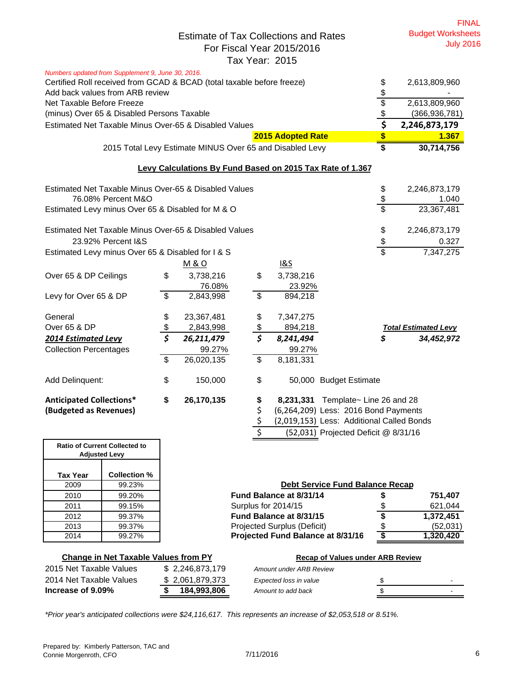#### Estimate of Tax Collections and Rates For Fiscal Year 2015/2016 Tax Year: 2015

| Numbers updated from Supplement 9, June 30, 2016.                      |                          |                                                           |                                  |                        |                                           |               |                             |
|------------------------------------------------------------------------|--------------------------|-----------------------------------------------------------|----------------------------------|------------------------|-------------------------------------------|---------------|-----------------------------|
| Certified Roll received from GCAD & BCAD (total taxable before freeze) |                          |                                                           |                                  |                        |                                           | \$            | 2,613,809,960               |
| Add back values from ARB review                                        |                          |                                                           |                                  |                        |                                           |               |                             |
| Net Taxable Before Freeze                                              |                          |                                                           |                                  |                        |                                           |               | 2,613,809,960               |
| (minus) Over 65 & Disabled Persons Taxable                             |                          |                                                           |                                  |                        |                                           |               | (366, 936, 781)             |
| Estimated Net Taxable Minus Over-65 & Disabled Values                  |                          |                                                           |                                  |                        |                                           | $rac{6}{5}$   | 2,246,873,179               |
|                                                                        |                          |                                                           |                                  | 2015 Adopted Rate      |                                           | \$            | 1.367                       |
|                                                                        |                          | 2015 Total Levy Estimate MINUS Over 65 and Disabled Levy  |                                  |                        |                                           |               | 30,714,756                  |
|                                                                        |                          | Levy Calculations By Fund Based on 2015 Tax Rate of 1.367 |                                  |                        |                                           |               |                             |
| Estimated Net Taxable Minus Over-65 & Disabled Values                  |                          |                                                           |                                  |                        |                                           |               | 2,246,873,179               |
| 76.08% Percent M&O                                                     |                          |                                                           |                                  |                        |                                           | $\frac{6}{3}$ | 1.040                       |
| Estimated Levy minus Over 65 & Disabled for M & O                      |                          |                                                           |                                  |                        |                                           | \$            | 23,367,481                  |
| Estimated Net Taxable Minus Over-65 & Disabled Values                  |                          |                                                           |                                  |                        |                                           | \$            | 2,246,873,179               |
| 23.92% Percent I&S                                                     |                          |                                                           |                                  |                        |                                           | \$            | 0.327                       |
| Estimated Levy minus Over 65 & Disabled for I & S                      |                          |                                                           |                                  |                        |                                           | \$            | 7,347,275                   |
|                                                                        |                          | <u>M &amp; O</u>                                          |                                  | <u>1&amp;S</u>         |                                           |               |                             |
| Over 65 & DP Ceilings                                                  | \$                       | 3,738,216                                                 | \$                               | 3,738,216              |                                           |               |                             |
|                                                                        |                          | 76.08%                                                    |                                  | 23.92%                 |                                           |               |                             |
| Levy for Over 65 & DP                                                  | \$                       | 2,843,998                                                 | \$                               | 894,218                |                                           |               |                             |
| General                                                                |                          | 23,367,481                                                |                                  | 7,347,275              |                                           |               |                             |
| Over 65 & DP                                                           | \$                       | 2,843,998                                                 | \$<br>\$                         | 894,218                |                                           |               | <b>Total Estimated Levy</b> |
| <b>2014 Estimated Levy</b>                                             | $\overline{\vec s}$      | 26,211,479                                                | $\overline{\boldsymbol{s}}$      | 8,241,494              |                                           | \$            | 34,452,972                  |
| <b>Collection Percentages</b>                                          |                          | 99.27%                                                    |                                  | 99.27%                 |                                           |               |                             |
|                                                                        | $\overline{\mathcal{S}}$ | 26,020,135                                                | $\overline{\boldsymbol{\theta}}$ | $\overline{8,}181,331$ |                                           |               |                             |
| Add Delinquent:                                                        | \$                       | 150,000                                                   | \$                               |                        | 50,000 Budget Estimate                    |               |                             |
| <b>Anticipated Collections*</b>                                        | \$                       | 26,170,135                                                | \$                               | 8,231,331              | Template~ Line 26 and 28                  |               |                             |
| (Budgeted as Revenues)                                                 |                          |                                                           |                                  |                        | (6,264,209) Less: 2016 Bond Payments      |               |                             |
|                                                                        |                          |                                                           | \$<br>\$<br>\$                   |                        | (2,019,153) Less: Additional Called Bonds |               |                             |
|                                                                        |                          |                                                           |                                  |                        | (52,031) Projected Deficit @ 8/31/16      |               |                             |

| <b>Ratio of Current Collected to</b><br><b>Adjusted Levy</b> |                     |  |  |  |  |  |  |  |
|--------------------------------------------------------------|---------------------|--|--|--|--|--|--|--|
| <b>Tax Year</b>                                              | <b>Collection %</b> |  |  |  |  |  |  |  |
| 2009                                                         | 99.23%              |  |  |  |  |  |  |  |
| 2010                                                         | 99.20%              |  |  |  |  |  |  |  |
| 2011                                                         | 99.15%              |  |  |  |  |  |  |  |
| 2012                                                         | 99.37%              |  |  |  |  |  |  |  |
| 2013                                                         | 99.37%              |  |  |  |  |  |  |  |
| 2014                                                         | 99.27%              |  |  |  |  |  |  |  |

#### 2010 99.20% **Fund Balance at 8/31/14 \$ 751,407** 2011 99.15% Surplus for 2014/15 \$ 621,044 **Fund Balance at 8/31/15 \$** 1,372,451 Projected Surplus (Deficit)  $$$  (52,031) **Projected Fund Balance at 8/31/16 \$** 1,320,420 **Debt Service Fund Balance Recap**

#### **Change in Net Taxable Values from PY** Recap of Values under ARB Review

| 2015 Net Taxable Values | \$2.246.873.179 | Amount under ARB Review |  |
|-------------------------|-----------------|-------------------------|--|
| 2014 Net Taxable Values | \$2.061.879.373 | Expected loss in value  |  |
| Increase of 9.09%       | 184.993.806     | Amount to add back      |  |

*\*Prior year's anticipated collections were \$24,116,617. This represents an increase of \$2,053,518 or 8.51%.*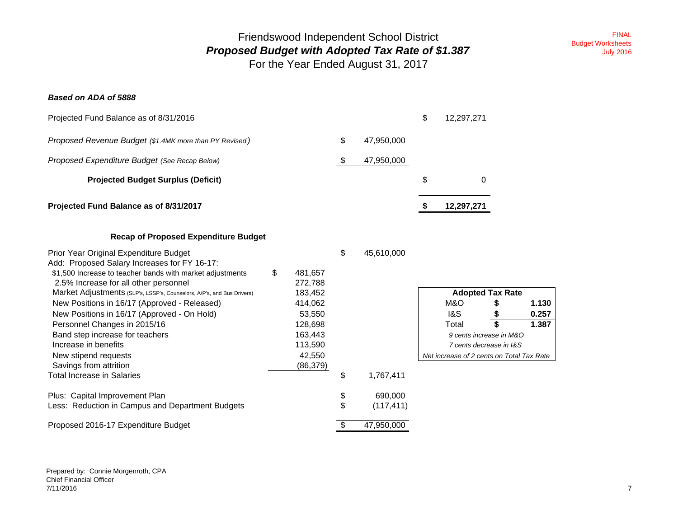Friendswood Independent School District *Proposed Budget with Adopted Tax Rate of \$1.387* For the Year Ended August 31, 2017

FINALBudget Worksheets July 2016

#### *Based on ADA of 5888*

| Projected Fund Balance as of 8/31/2017                 |   |            | 12,297,271       |
|--------------------------------------------------------|---|------------|------------------|
| <b>Projected Budget Surplus (Deficit)</b>              |   |            | \$<br>0          |
| Proposed Expenditure Budget (See Recap Below)          |   | 47,950,000 |                  |
| Proposed Revenue Budget (\$1.4MK more than PY Revised) | S | 47.950.000 |                  |
| Projected Fund Balance as of 8/31/2016                 |   |            | \$<br>12,297,271 |

#### **Recap of Proposed Expenditure Budget**

| Prior Year Original Expenditure Budget                                 |               | \$<br>45,610,000 |                                           |                         |       |
|------------------------------------------------------------------------|---------------|------------------|-------------------------------------------|-------------------------|-------|
| Add: Proposed Salary Increases for FY 16-17:                           |               |                  |                                           |                         |       |
| \$1,500 Increase to teacher bands with market adjustments              | \$<br>481,657 |                  |                                           |                         |       |
| 2.5% Increase for all other personnel                                  | 272,788       |                  |                                           |                         |       |
| Market Adjustments (SLP's, LSSP's, Counselors, A/P's, and Bus Drivers) | 183,452       |                  |                                           | <b>Adopted Tax Rate</b> |       |
| New Positions in 16/17 (Approved - Released)                           | 414,062       |                  | M&O                                       |                         | 1.130 |
| New Positions in 16/17 (Approved - On Hold)                            | 53,550        |                  | 1&S                                       |                         | 0.257 |
| Personnel Changes in 2015/16                                           | 128,698       |                  | Total                                     |                         | 1.387 |
| Band step increase for teachers                                        | 163,443       |                  |                                           | 9 cents increase in M&O |       |
| Increase in benefits                                                   | 113,590       |                  |                                           | 7 cents decrease in I&S |       |
| New stipend requests                                                   | 42,550        |                  | Net increase of 2 cents on Total Tax Rate |                         |       |
| Savings from attrition                                                 | (86, 379)     |                  |                                           |                         |       |
| Total Increase in Salaries                                             |               | \$<br>1,767,411  |                                           |                         |       |
| Plus: Capital Improvement Plan                                         |               | \$<br>690,000    |                                           |                         |       |
| Less: Reduction in Campus and Department Budgets                       |               | (117, 411)       |                                           |                         |       |
| Proposed 2016-17 Expenditure Budget                                    |               | 47,950,000       |                                           |                         |       |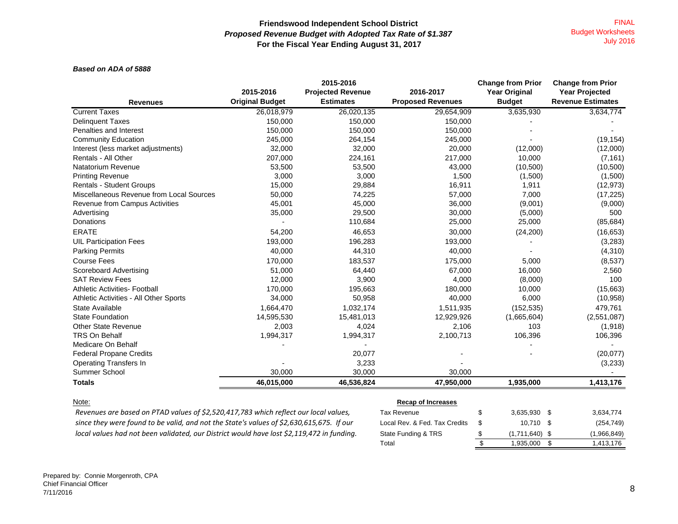#### **Friendswood Independent School District** *Proposed Revenue Budget with Adopted Tax Rate of \$1.387* **For the Fiscal Year Ending August 31, 2017**

#### *Based on ADA of 5888*

|                                          |                        | 2015-2016                |                          | <b>Change from Prior</b> | <b>Change from Prior</b> |
|------------------------------------------|------------------------|--------------------------|--------------------------|--------------------------|--------------------------|
|                                          | 2015-2016              | <b>Projected Revenue</b> | 2016-2017                | <b>Year Original</b>     | <b>Year Projected</b>    |
| <b>Revenues</b>                          | <b>Original Budget</b> | <b>Estimates</b>         | <b>Proposed Revenues</b> | <b>Budget</b>            | <b>Revenue Estimates</b> |
| <b>Current Taxes</b>                     | 26,018,979             | 26,020,135               | 29,654,909               | 3,635,930                | 3,634,774                |
| <b>Delinquent Taxes</b>                  | 150,000                | 150,000                  | 150,000                  |                          |                          |
| Penalties and Interest                   | 150,000                | 150,000                  | 150,000                  |                          |                          |
| <b>Community Education</b>               | 245,000                | 264,154                  | 245,000                  |                          | (19, 154)                |
| Interest (less market adjustments)       | 32,000                 | 32,000                   | 20,000                   | (12,000)                 | (12,000)                 |
| Rentals - All Other                      | 207,000                | 224,161                  | 217,000                  | 10,000                   | (7, 161)                 |
| Natatorium Revenue                       | 53,500                 | 53,500                   | 43,000                   | (10, 500)                | (10, 500)                |
| <b>Printing Revenue</b>                  | 3,000                  | 3,000                    | 1,500                    | (1,500)                  | (1,500)                  |
| <b>Rentals - Student Groups</b>          | 15,000                 | 29,884                   | 16,911                   | 1,911                    | (12, 973)                |
| Miscellaneous Revenue from Local Sources | 50,000                 | 74,225                   | 57,000                   | 7,000                    | (17, 225)                |
| Revenue from Campus Activities           | 45,001                 | 45,000                   | 36,000                   | (9,001)                  | (9,000)                  |
| Advertising                              | 35,000                 | 29,500                   | 30,000                   | (5,000)                  | 500                      |
| Donations                                |                        | 110,684                  | 25,000                   | 25,000                   | (85, 684)                |
| <b>ERATE</b>                             | 54,200                 | 46,653                   | 30,000                   | (24, 200)                | (16, 653)                |
| <b>UIL Participation Fees</b>            | 193,000                | 196,283                  | 193,000                  |                          | (3,283)                  |
| <b>Parking Permits</b>                   | 40,000                 | 44,310                   | 40,000                   |                          | (4,310)                  |
| <b>Course Fees</b>                       | 170,000                | 183,537                  | 175,000                  | 5,000                    | (8,537)                  |
| Scoreboard Advertising                   | 51,000                 | 64,440                   | 67,000                   | 16,000                   | 2,560                    |
| <b>SAT Review Fees</b>                   | 12,000                 | 3,900                    | 4,000                    | (8,000)                  | 100                      |
| <b>Athletic Activities- Football</b>     | 170,000                | 195,663                  | 180,000                  | 10,000                   | (15,663)                 |
| Athletic Activities - All Other Sports   | 34,000                 | 50,958                   | 40,000                   | 6,000                    | (10, 958)                |
| State Available                          | 1,664,470              | 1,032,174                | 1,511,935                | (152, 535)               | 479,761                  |
| <b>State Foundation</b>                  | 14,595,530             | 15,481,013               | 12,929,926               | (1,665,604)              | (2,551,087)              |
| <b>Other State Revenue</b>               | 2,003                  | 4,024                    | 2,106                    | 103                      | (1,918)                  |
| <b>TRS On Behalf</b>                     | 1,994,317              | 1,994,317                | 2,100,713                | 106,396                  | 106,396                  |
| Medicare On Behalf                       |                        |                          |                          |                          |                          |
| <b>Federal Propane Credits</b>           |                        | 20,077                   |                          |                          | (20,077)                 |
| <b>Operating Transfers In</b>            |                        | 3,233                    |                          |                          | (3,233)                  |
| Summer School                            | 30,000                 | 30,000                   | 30,000                   |                          |                          |
| <b>Totals</b>                            | 46,015,000             | 46,536,824               | 47,950,000               | 1,935,000                | 1,413,176                |

#### Note:

|                                                                                       | <b>Recap of Increases</b>     |                |             |
|---------------------------------------------------------------------------------------|-------------------------------|----------------|-------------|
| enues are based on PTAD values of \$2,520,417,783 which reflect our local values,     | Tax Revenue                   | $3.635.930$ \$ | 3.634.774   |
| e they were found to be valid, and not the State's values of \$2,630,615,675. If our  | Local Rev. & Fed. Tax Credits | 10.710 \$      | (254, 749)  |
| l values had not been validated, our District would have lost \$2,119,472 in funding. | State Funding & TRS           | (1.711.640) \$ | (1,966,849) |
|                                                                                       | Total                         | .935.000       | .413,176    |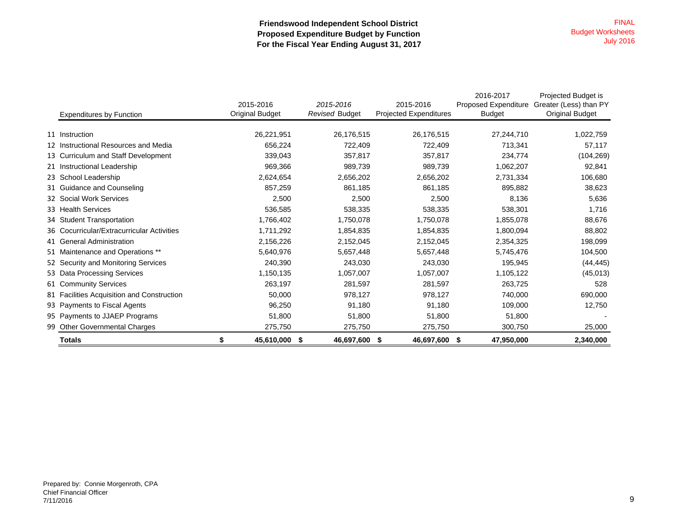| <b>Expenditures by Function</b>            | 2015-2016<br><b>Original Budget</b> | 2015-2016<br>Revised Budget |               | 2015-2016<br><b>Projected Expenditures</b> | 2016-2017<br><b>Budget</b> | Projected Budget is<br>Proposed Expenditure Greater (Less) than PY<br><b>Original Budget</b> |
|--------------------------------------------|-------------------------------------|-----------------------------|---------------|--------------------------------------------|----------------------------|----------------------------------------------------------------------------------------------|
|                                            |                                     |                             |               |                                            |                            |                                                                                              |
| 11 Instruction                             | 26,221,951                          |                             | 26,176,515    | 26,176,515                                 | 27,244,710                 | 1,022,759                                                                                    |
| 12 Instructional Resources and Media       | 656,224                             |                             | 722,409       | 722,409                                    | 713,341                    | 57,117                                                                                       |
| 13 Curriculum and Staff Development        | 339,043                             |                             | 357,817       | 357,817                                    | 234,774                    | (104, 269)                                                                                   |
| 21 Instructional Leadership                | 969,366                             |                             | 989,739       | 989,739                                    | 1,062,207                  | 92,841                                                                                       |
| 23 School Leadership                       | 2,624,654                           |                             | 2,656,202     | 2,656,202                                  | 2,731,334                  | 106,680                                                                                      |
| 31 Guidance and Counseling                 | 857,259                             |                             | 861,185       | 861,185                                    | 895,882                    | 38,623                                                                                       |
| 32 Social Work Services                    | 2,500                               |                             | 2,500         | 2,500                                      | 8,136                      | 5,636                                                                                        |
| 33 Health Services                         | 536,585                             |                             | 538,335       | 538,335                                    | 538,301                    | 1,716                                                                                        |
| 34 Student Transportation                  | 1,766,402                           |                             | 1,750,078     | 1,750,078                                  | 1,855,078                  | 88,676                                                                                       |
| 36 Cocurricular/Extracurricular Activities | 1,711,292                           |                             | 1,854,835     | 1,854,835                                  | 1,800,094                  | 88,802                                                                                       |
| 41 General Administration                  | 2,156,226                           |                             | 2,152,045     | 2,152,045                                  | 2,354,325                  | 198,099                                                                                      |
| 51 Maintenance and Operations **           | 5,640,976                           |                             | 5,657,448     | 5,657,448                                  | 5,745,476                  | 104,500                                                                                      |
| 52 Security and Monitoring Services        | 240,390                             |                             | 243,030       | 243,030                                    | 195,945                    | (44, 445)                                                                                    |
| 53 Data Processing Services                | 1,150,135                           |                             | 1,057,007     | 1,057,007                                  | 1,105,122                  | (45, 013)                                                                                    |
| 61 Community Services                      | 263,197                             |                             | 281,597       | 281,597                                    | 263,725                    | 528                                                                                          |
| 81 Facilities Acquisition and Construction | 50,000                              |                             | 978,127       | 978,127                                    | 740,000                    | 690,000                                                                                      |
| 93 Payments to Fiscal Agents               | 96,250                              |                             | 91,180        | 91,180                                     | 109,000                    | 12,750                                                                                       |
| 95 Payments to JJAEP Programs              | 51,800                              |                             | 51,800        | 51,800                                     | 51,800                     |                                                                                              |
| 99 Other Governmental Charges              | 275,750                             |                             | 275,750       | 275,750                                    | 300,750                    | 25,000                                                                                       |
| <b>Totals</b>                              | 45,610,000 \$                       |                             | 46,697,600 \$ | 46,697,600 \$                              | 47,950,000                 | 2,340,000                                                                                    |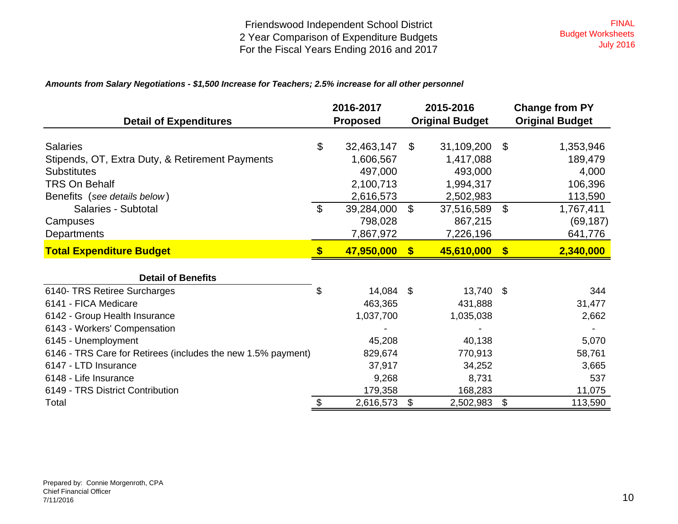#### *Amounts from Salary Negotiations - \$1,500 Increase for Teachers; 2.5% increase for all other personnel*

|                                                              |                       | 2016-2017       |               | 2015-2016              |                | <b>Change from PY</b>  |
|--------------------------------------------------------------|-----------------------|-----------------|---------------|------------------------|----------------|------------------------|
| <b>Detail of Expenditures</b>                                |                       | <b>Proposed</b> |               | <b>Original Budget</b> |                | <b>Original Budget</b> |
| <b>Salaries</b>                                              | \$                    | 32,463,147      | \$            | 31,109,200             | \$             | 1,353,946              |
| Stipends, OT, Extra Duty, & Retirement Payments              |                       | 1,606,567       |               | 1,417,088              |                | 189,479                |
| <b>Substitutes</b>                                           |                       | 497,000         |               | 493,000                |                | 4,000                  |
| <b>TRS On Behalf</b>                                         |                       | 2,100,713       |               | 1,994,317              |                | 106,396                |
| Benefits (see details below)                                 |                       | 2,616,573       |               | 2,502,983              |                | 113,590                |
| Salaries - Subtotal                                          | $\mathfrak{S}$        | 39,284,000      | \$            | 37,516,589             | $\mathfrak{L}$ | 1,767,411              |
| Campuses                                                     |                       | 798,028         |               | 867,215                |                | (69, 187)              |
| Departments                                                  |                       | 7,867,972       |               | 7,226,196              |                | 641,776                |
| <b>Total Expenditure Budget</b>                              | $\sqrt[6]{3}$         | 47,950,000      | $\mathbf{\$}$ | 45,610,000             | $\sqrt[3]{3}$  | 2,340,000              |
|                                                              |                       |                 |               |                        |                |                        |
| <b>Detail of Benefits</b>                                    |                       |                 |               |                        |                |                        |
| 6140- TRS Retiree Surcharges                                 | \$                    | 14,084 \$       |               | 13,740 \$              |                | 344                    |
| 6141 - FICA Medicare                                         |                       | 463,365         |               | 431,888                |                | 31,477                 |
| 6142 - Group Health Insurance                                |                       | 1,037,700       |               | 1,035,038              |                | 2,662                  |
| 6143 - Workers' Compensation                                 |                       |                 |               |                        |                |                        |
| 6145 - Unemployment                                          |                       | 45,208          |               | 40,138                 |                | 5,070                  |
| 6146 - TRS Care for Retirees (includes the new 1.5% payment) |                       | 829,674         |               | 770,913                |                | 58,761                 |
| 6147 - LTD Insurance                                         |                       | 37,917          |               | 34,252                 |                | 3,665                  |
| 6148 - Life Insurance                                        |                       | 9,268           |               | 8,731                  |                | 537                    |
| 6149 - TRS District Contribution                             |                       | 179,358         |               | 168,283                |                | 11,075                 |
| Total                                                        | $\boldsymbol{\theta}$ | 2,616,573       | \$            | 2,502,983              | \$             | 113,590                |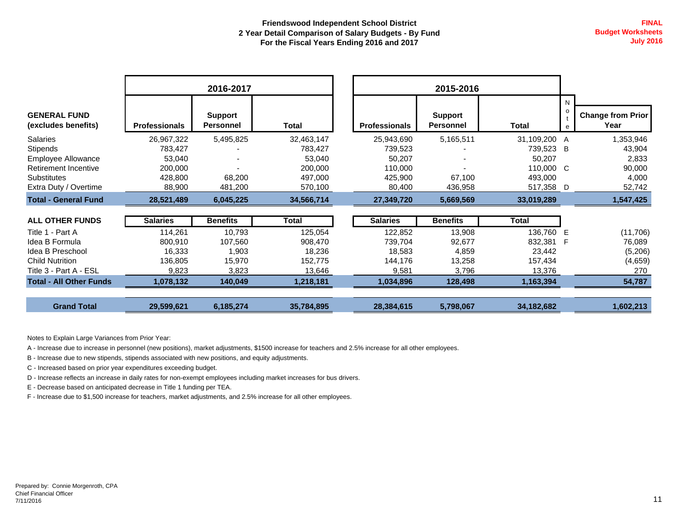|                                                                                                                          |                                                                 | 2016-2017                                     |                                                                  |                                                                 | 2015-2016                                    |                                                                    |               |                                                           |
|--------------------------------------------------------------------------------------------------------------------------|-----------------------------------------------------------------|-----------------------------------------------|------------------------------------------------------------------|-----------------------------------------------------------------|----------------------------------------------|--------------------------------------------------------------------|---------------|-----------------------------------------------------------|
| <b>GENERAL FUND</b><br>(excludes benefits)                                                                               | <b>Professionals</b>                                            | <b>Support</b><br><b>Personnel</b>            | Total                                                            | <b>Professionals</b>                                            | <b>Support</b><br><b>Personnel</b>           | <b>Total</b>                                                       | $\circ$<br>e  | <b>Change from Prior</b><br>Year                          |
| <b>Salaries</b><br><b>Stipends</b><br>Employee Allowance<br>Retirement Incentive<br>Substitutes<br>Extra Duty / Overtime | 26,967,322<br>783,427<br>53,040<br>200,000<br>428,800<br>88,900 | 5,495,825<br>68,200<br>481,200                | 32,463,147<br>783,427<br>53,040<br>200,000<br>497,000<br>570,100 | 25,943,690<br>739,523<br>50,207<br>110,000<br>425,900<br>80,400 | 5,165,511<br>67,100<br>436,958               | 31,109,200<br>739,523<br>50,207<br>110,000 C<br>493,000<br>517,358 | A<br>- В<br>D | 1,353,946<br>43,904<br>2,833<br>90,000<br>4,000<br>52,742 |
| <b>Total - General Fund</b>                                                                                              | 28,521,489                                                      | 6,045,225                                     | 34,566,714                                                       | 27,349,720                                                      | 5,669,569                                    | 33,019,289                                                         |               | 1,547,425                                                 |
| <b>ALL OTHER FUNDS</b>                                                                                                   | <b>Salaries</b>                                                 | <b>Benefits</b>                               | <b>Total</b>                                                     | <b>Salaries</b>                                                 | <b>Benefits</b>                              | <b>Total</b>                                                       |               |                                                           |
| Title 1 - Part A<br>Idea B Formula<br>Idea B Preschool<br><b>Child Nutrition</b><br>Title 3 - Part A - ESL               | 114,261<br>800,910<br>16,333<br>136,805<br>9,823                | 10,793<br>107,560<br>1,903<br>15,970<br>3,823 | 125,054<br>908,470<br>18,236<br>152,775<br>13,646                | 122,852<br>739,704<br>18,583<br>144,176<br>9,581                | 13,908<br>92,677<br>4,859<br>13,258<br>3,796 | 136,760 E<br>832,381<br>23,442<br>157,434<br>13,376                | - F           | (11, 706)<br>76,089<br>(5,206)<br>(4,659)<br>270          |
| <b>Total - All Other Funds</b>                                                                                           | 1,078,132                                                       | 140,049                                       | 1,218,181                                                        | 1,034,896                                                       | 128,498                                      | 1,163,394                                                          |               | 54,787                                                    |
|                                                                                                                          |                                                                 |                                               |                                                                  |                                                                 |                                              |                                                                    |               |                                                           |

**Grand Total 29,599,621 6,185,274 35,784,895 28,384,615 5,798,067 34,182,682 1,602,213**

Notes to Explain Large Variances from Prior Year:

A - Increase due to increase in personnel (new positions), market adjustments, \$1500 increase for teachers and 2.5% increase for all other employees.

B - Increase due to new stipends, stipends associated with new positions, and equity adjustments.

C - Increased based on prior year expenditures exceeding budget.

D - Increase reflects an increase in daily rates for non-exempt employees including market increases for bus drivers.

E - Decrease based on anticipated decrease in Title 1 funding per TEA.

F - Increase due to \$1,500 increase for teachers, market adjustments, and 2.5% increase for all other employees.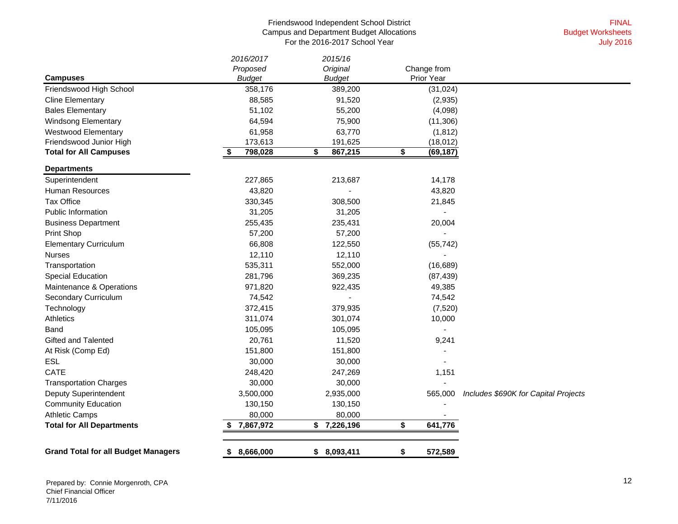#### Friendswood Independent School District Campus and Department Budget Allocations For the 2016-2017 School Year

|                                            | 2016/2017       | 2015/16       |                 |                                      |
|--------------------------------------------|-----------------|---------------|-----------------|--------------------------------------|
|                                            | Proposed        | Original      | Change from     |                                      |
| <b>Campuses</b>                            | <b>Budget</b>   | <b>Budget</b> | Prior Year      |                                      |
| Friendswood High School                    | 358,176         | 389,200       | (31, 024)       |                                      |
| <b>Cline Elementary</b>                    | 88,585          | 91,520        | (2,935)         |                                      |
| <b>Bales Elementary</b>                    | 51,102          | 55,200        | (4,098)         |                                      |
| <b>Windsong Elementary</b>                 | 64,594          | 75,900        | (11, 306)       |                                      |
| <b>Westwood Elementary</b>                 | 61,958          | 63,770        | (1, 812)        |                                      |
| Friendswood Junior High                    | 173,613         | 191,625       | (18, 012)       |                                      |
| <b>Total for All Campuses</b>              | 798,028         | 867,215<br>\$ | \$<br>(69, 187) |                                      |
| <b>Departments</b>                         |                 |               |                 |                                      |
| Superintendent                             | 227,865         | 213,687       | 14,178          |                                      |
| Human Resources                            | 43,820          |               | 43,820          |                                      |
| <b>Tax Office</b>                          | 330,345         | 308,500       | 21,845          |                                      |
| <b>Public Information</b>                  | 31,205          | 31,205        |                 |                                      |
| <b>Business Department</b>                 | 255,435         | 235,431       | 20,004          |                                      |
| <b>Print Shop</b>                          | 57,200          | 57,200        |                 |                                      |
| <b>Elementary Curriculum</b>               | 66,808          | 122,550       | (55, 742)       |                                      |
| <b>Nurses</b>                              | 12,110          | 12,110        |                 |                                      |
| Transportation                             | 535,311         | 552,000       | (16, 689)       |                                      |
| <b>Special Education</b>                   | 281,796         | 369,235       | (87, 439)       |                                      |
| Maintenance & Operations                   | 971,820         | 922,435       | 49,385          |                                      |
| Secondary Curriculum                       | 74,542          |               | 74,542          |                                      |
| Technology                                 | 372,415         | 379,935       | (7, 520)        |                                      |
| Athletics                                  | 311,074         | 301,074       | 10,000          |                                      |
| Band                                       | 105,095         | 105,095       |                 |                                      |
| <b>Gifted and Talented</b>                 | 20,761          | 11,520        | 9,241           |                                      |
| At Risk (Comp Ed)                          | 151,800         | 151,800       |                 |                                      |
| ESL                                        | 30,000          | 30,000        |                 |                                      |
| <b>CATE</b>                                | 248,420         | 247,269       | 1,151           |                                      |
| <b>Transportation Charges</b>              | 30,000          | 30,000        |                 |                                      |
| Deputy Superintendent                      | 3,500,000       | 2,935,000     | 565,000         | Includes \$690K for Capital Projects |
| <b>Community Education</b>                 | 130,150         | 130,150       |                 |                                      |
| <b>Athletic Camps</b>                      | 80,000          | 80,000        |                 |                                      |
| <b>Total for All Departments</b>           | 7,867,972       | \$7,226,196   | \$<br>641,776   |                                      |
|                                            |                 |               |                 |                                      |
| <b>Grand Total for all Budget Managers</b> | \$<br>8,666,000 | \$8,093,411   | \$<br>572,589   |                                      |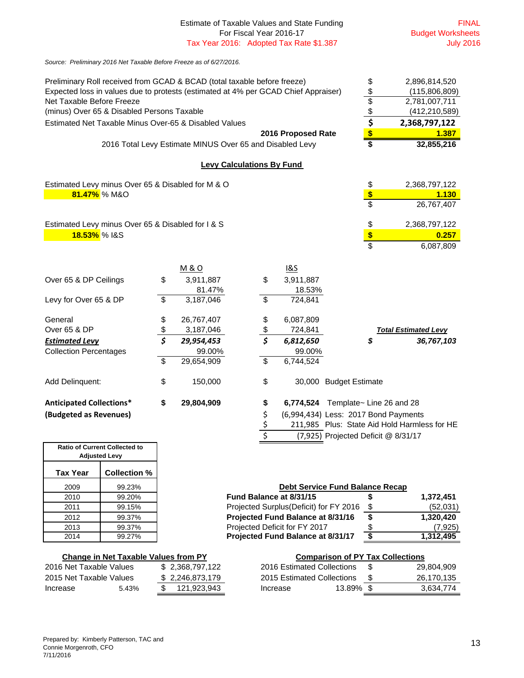#### Estimate of Taxable Values and State Funding For Fiscal Year 2016-17 Tax Year 2016: Adopted Tax Rate \$1.387

*Source: Preliminary 2016 Net Taxable Before Freeze as of 6/27/2016.*

| Preliminary Roll received from GCAD & BCAD (total taxable before freeze)           |                                |                                                          |               |                    |                        | 2,896,814,520               |
|------------------------------------------------------------------------------------|--------------------------------|----------------------------------------------------------|---------------|--------------------|------------------------|-----------------------------|
| Expected loss in values due to protests (estimated at 4% per GCAD Chief Appraiser) | $\frac{6}{3}$<br>$\frac{6}{3}$ | (115,806,809)                                            |               |                    |                        |                             |
| Net Taxable Before Freeze                                                          |                                |                                                          |               |                    |                        | 2,781,007,711               |
| (minus) Over 65 & Disabled Persons Taxable                                         |                                |                                                          |               |                    |                        | (412, 210, 589)             |
| Estimated Net Taxable Minus Over-65 & Disabled Values                              |                                |                                                          |               |                    |                        | 2,368,797,122               |
|                                                                                    |                                |                                                          |               | 2016 Proposed Rate | \$                     | 1.387                       |
|                                                                                    |                                | 2016 Total Levy Estimate MINUS Over 65 and Disabled Levy |               |                    | \$                     | 32,855,216                  |
|                                                                                    |                                | <b>Levy Calculations By Fund</b>                         |               |                    |                        |                             |
| Estimated Levy minus Over 65 & Disabled for M & O                                  |                                |                                                          |               |                    | \$                     | 2,368,797,122               |
| 81.47% % M&O                                                                       |                                |                                                          |               |                    | \$                     | 1.130                       |
|                                                                                    |                                |                                                          |               |                    | \$                     | 26,767,407                  |
| Estimated Levy minus Over 65 & Disabled for I & S                                  |                                |                                                          |               |                    | \$                     | 2,368,797,122               |
| 18.53% % I&S                                                                       |                                |                                                          |               |                    | \$                     | 0.257                       |
|                                                                                    |                                |                                                          |               |                    | \$                     | 6,087,809                   |
|                                                                                    |                                | <b>M&amp;O</b>                                           |               | <b>1&amp;S</b>     |                        |                             |
| Over 65 & DP Ceilings                                                              | \$                             | 3,911,887                                                | \$            | 3,911,887          |                        |                             |
|                                                                                    |                                | 81.47%                                                   |               | 18.53%             |                        |                             |
| Levy for Over 65 & DP                                                              | \$                             | 3,187,046                                                | \$            | 724,841            |                        |                             |
| General                                                                            | \$                             | 26,767,407                                               | \$            | 6,087,809          |                        |                             |
| Over 65 & DP                                                                       | $rac{1}{5}$                    | 3,187,046                                                | $\frac{1}{2}$ | 724,841            |                        | <b>Total Estimated Levy</b> |
| <b>Estimated Levy</b>                                                              |                                | 29,954,453                                               | \$            | 6,812,650          | \$                     | 36,767,103                  |
| <b>Collection Percentages</b>                                                      |                                | 99.00%                                                   |               | 99.00%             |                        |                             |
|                                                                                    | $\overline{\mathcal{S}}$       | 29,654,909                                               | \$            | 6,744,524          |                        |                             |
| Add Delinquent:                                                                    | \$                             | 150,000                                                  | \$            |                    | 30,000 Budget Estimate |                             |

| <b>Anticipated Collections*</b> |
|---------------------------------|
| (Budgeted as Revenues)          |

| $1 -$                                                        |                     |  |  |  |  |  |  |
|--------------------------------------------------------------|---------------------|--|--|--|--|--|--|
| <b>Ratio of Current Collected to</b><br><b>Adjusted Levy</b> |                     |  |  |  |  |  |  |
| <b>Tax Year</b>                                              | <b>Collection %</b> |  |  |  |  |  |  |
| 2009                                                         | 99.23%              |  |  |  |  |  |  |
| 2010                                                         | 99.20%              |  |  |  |  |  |  |
| 2011                                                         | 99.15%              |  |  |  |  |  |  |
| 2012                                                         | 99.37%              |  |  |  |  |  |  |
| 2013                                                         | 99.37%              |  |  |  |  |  |  |
| 2014                                                         | 99.27%              |  |  |  |  |  |  |

| Add Delinguent:                      | S | 150.000    | \$<br>30,000 Budget Estimate                 |
|--------------------------------------|---|------------|----------------------------------------------|
| <b>Anticipated Collections*</b>      |   | 29,804,909 | $6,774,524$ Template - Line 26 and 28        |
| (Budgeted as Revenues)               |   |            | (6,994,434) Less: 2017 Bond Payments         |
|                                      |   |            | 211,985 Plus: State Aid Hold Harmless for HE |
|                                      |   |            | $(7,925)$ Projected Deficit @ 8/31/17        |
| <b>Ratio of Current Collected to</b> |   |            |                                              |

| 2009 | 99.23% | <b>Debt Service Fund Balance Recap</b>   |           |
|------|--------|------------------------------------------|-----------|
| 2010 | 99.20% | Fund Balance at 8/31/15                  | 1.372.451 |
| 2011 | 99.15% | Projected Surplus (Deficit) for FY 2016  | (52,031)  |
| 2012 | 99.37% | Projected Fund Balance at 8/31/16        | 1.320.420 |
| 2013 | 99.37% | Projected Deficit for FY 2017            | (7.925)   |
| 2014 | 99.27% | <b>Projected Fund Balance at 8/31/17</b> | 1.312.495 |

| <b>Change in Net Taxable Values from PY</b> |       |                 | <b>Comparison of PY Tax Collections</b> |        |  |            |  |  |  |
|---------------------------------------------|-------|-----------------|-----------------------------------------|--------|--|------------|--|--|--|
| 2016 Net Taxable Values                     |       | \$2.368.797.122 | 2016 Estimated Collections              |        |  | 29.804.909 |  |  |  |
| 2015 Net Taxable Values                     |       | \$2.246.873.179 | 2015 Estimated Collections              |        |  | 26,170,135 |  |  |  |
| Increase                                    | 5.43% | 121.923.943     | Increase                                | 13.89% |  | 3.634.774  |  |  |  |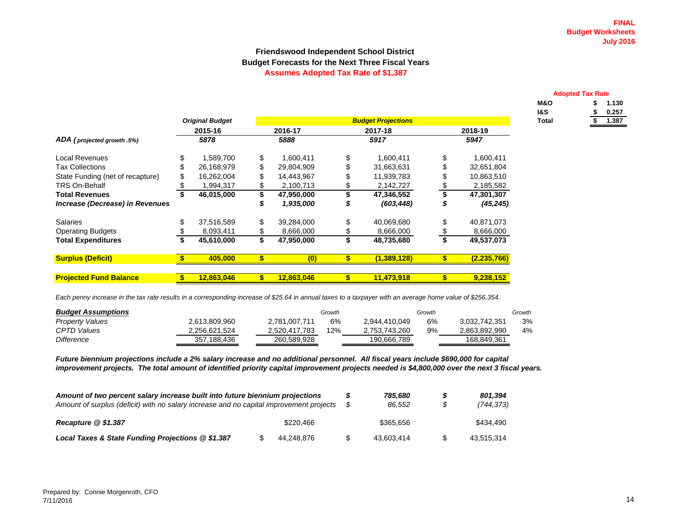**1.130\$** 

 **Adopted Tax Rate** 

**0.257\$** 

**M&O**

**I&S**

#### **Friendswood Independent School District Budget Forecasts for the Next Three Fiscal Years Assumes Adopted Tax Rate of \$1.387**

| ADA (projected growth .5%)       | <b>Original Budget</b><br>2015-16<br>5878 |      |            |      | <b>Budget Projections</b> |      |               | <b>Total</b> |  |
|----------------------------------|-------------------------------------------|------|------------|------|---------------------------|------|---------------|--------------|--|
|                                  |                                           |      |            |      |                           |      |               |              |  |
|                                  |                                           |      | 2016-17    |      | 2017-18                   |      | 2018-19       |              |  |
|                                  |                                           | 5888 |            | 5917 |                           | 5947 |               |              |  |
| <b>Local Revenues</b>            | 1,589,700                                 | \$   | 1,600,411  | S    | 1,600,411                 |      | 1,600,411     |              |  |
| <b>Tax Collections</b>           | 26,168,979                                |      | 29,804,909 |      | 31,663,631                |      | 32,651,804    |              |  |
| State Funding (net of recapture) | 16,262,004                                |      | 14,443,967 |      | 11,939,783                |      | 10,863,510    |              |  |
| TRS On-Behalf                    | 1,994,317                                 |      | 2,100,713  |      | 2,142,727                 |      | 2,185,582     |              |  |
| <b>Total Revenues</b>            | 46,015,000                                |      | 47,950,000 |      | 47,346,552                |      | 47,301,307    |              |  |
| Increase (Decrease) in Revenues  |                                           |      | 1,935,000  | S    | (603, 448)                |      | (45, 245)     |              |  |
| <b>Salaries</b><br>£.            | 37,516,589                                | \$   | 39,284,000 | \$   | 40,069,680                |      | 40,871,073    |              |  |
| <b>Operating Budgets</b>         | 8,093,411                                 | \$.  | 8,666,000  |      | 8,666,000                 |      | 8,666,000     |              |  |
| <b>Total Expenditures</b><br>\$  | 45,610,000                                | \$   | 47,950,000 | \$   | 48,735,680                |      | 49,537,073    |              |  |
| <b>Surplus (Deficit)</b>         | 405,000                                   |      | (0)        |      | (1, 389, 128)             |      | (2, 235, 766) |              |  |
| <b>Projected Fund Balance</b>    | 12,863,046                                |      | 12,863,046 |      | 11,473,918                |      | 9,238,152     |              |  |

*Each penny increase in the tax rate results in a corresponding increase of \$25.64 in annual taxes to a taxpayer with an average home value of \$256,354.*

| <b>Budget Assumptions</b> |               |               | Growth |               | Growth |               | Growth |
|---------------------------|---------------|---------------|--------|---------------|--------|---------------|--------|
| <b>Property Values</b>    | 2,613,809,960 | 2.781.007.711 | 6%     | 2.944.410.049 | 6%     | 3.032.742.351 | 3%     |
| <b>CPTD Values</b>        | 2.256.621.524 | 2.520.417.783 | 12%    | 2,753,743,260 | 9%     | 2,863,892,990 | 4%     |
| <b>Difference</b>         | 357.188.436   | 260,589,928   |        | 190,666,789   |        | 168,849,361   |        |

*Future biennium projections include a 2% salary increase and no additional personnel. All fiscal years include \$690,000 for capital improvement projects. The total amount of identified priority capital improvement projects needed is \$4,800,000 over the next 3 fiscal years.*

| Amount of two percent salary increase built into future biennium projections<br>Amount of surplus (deficit) with no salary increase and no capital improvement projects |            | 785.680<br>86.552 |            | 801.394<br>(744,373) |            |
|-------------------------------------------------------------------------------------------------------------------------------------------------------------------------|------------|-------------------|------------|----------------------|------------|
| Recapture @ \$1.387                                                                                                                                                     | \$220,466  |                   | \$365.656  |                      | \$434.490  |
| Local Taxes & State Funding Projections @ \$1.387                                                                                                                       | 44.248.876 | S                 | 43.603.414 | S                    | 43.515.314 |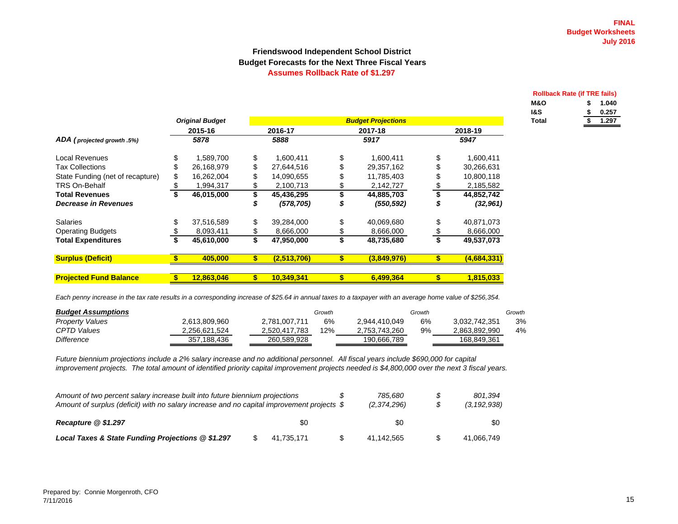**1.040\$** 

 **Rollback Rate (if TRE fails)** 

**M&O**

#### **Friendswood Independent School District Budget Forecasts for the Next Three Fiscal Years Assumes Rollback Rate of \$1.297**

|                                  |    | <b>Original Budget</b> |    |             |    | <b>Budget Projections</b> |   |             |  |
|----------------------------------|----|------------------------|----|-------------|----|---------------------------|---|-------------|--|
|                                  |    | 2015-16                |    | 2016-17     |    | 2017-18                   |   | 2018-19     |  |
| ADA (projected growth .5%)       |    | 5878                   |    | 5888        |    | 5917                      |   | 5947        |  |
| Local Revenues                   | \$ | .589.700               | \$ | 1,600,411   | S  | 600.411 .600              | S | 1,600,411   |  |
| <b>Tax Collections</b>           |    | 26,168,979             | S  | 27,644,516  |    | 29,357,162                |   | 30,266,631  |  |
| State Funding (net of recapture) |    | 16,262,004             |    | 14,090,655  |    | 11,785,403                |   | 10,800,118  |  |
| TRS On-Behalf                    |    | 1,994,317              |    | 2,100,713   |    | 2,142,727                 |   | 2,185,582   |  |
| <b>Total Revenues</b>            |    | 46,015,000             |    | 45,436,295  |    | 44,885,703                |   | 44,852,742  |  |
| <b>Decrease in Revenues</b>      |    |                        |    | (578, 705)  | J  | (550, 592)                |   | (32, 961)   |  |
| <b>Salaries</b>                  |    | 37,516,589             | \$ | 39,284,000  | \$ | 40,069,680                |   | 40,871,073  |  |
| <b>Operating Budgets</b>         |    | 8,093,411              |    | 8,666,000   |    | 8,666,000                 |   | 8,666,000   |  |
| <b>Total Expenditures</b>        |    | 45,610,000             | \$ | 47,950,000  |    | 48,735,680                |   | 49,537,073  |  |
| <b>Surplus (Deficit)</b>         |    | 405,000                |    | (2,513,706) |    | (3,849,976)               |   | (4,684,331) |  |
| <b>Projected Fund Balance</b>    |    | 12,863,046             | S  | 10,349,341  |    | 6,499,364                 |   | 1,815,033   |  |

*Each penny increase in the tax rate results in a corresponding increase of \$25.64 in annual taxes to a taxpayer with an average home value of \$256,354.*

| <b>Budget Assumptions</b> |               |               | Growth |               | Growth |               | Growth |
|---------------------------|---------------|---------------|--------|---------------|--------|---------------|--------|
| <b>Property Values</b>    | 2,613,809,960 | 2.781.007.711 | 6%     | 2.944.410.049 | 6%     | 3.032.742.351 | 3%     |
| <b>CPTD Values</b>        | 2.256.621.524 | 2.520.417.783 | 12%    | 2.753.743.260 | 9%     | 2.863.892.990 | 4%     |
| <b>Difference</b>         | 357,188,436   | 260.589.928   |        | 190,666,789   |        | 168.849.361   |        |

*Future biennium projections include a 2% salary increase and no additional personnel. All fiscal years include \$690,000 for capital improvement projects. The total amount of identified priority capital improvement projects needed is \$4,800,000 over the next 3 fiscal years.*

| Amount of two percent salary increase built into future biennium projections<br>Amount of surplus (deficit) with no salary increase and no capital improvement projects $\$ |  |            |     | 785.680<br>(2,374,296) | S<br>S | 801.394<br>(3, 192, 938) |
|-----------------------------------------------------------------------------------------------------------------------------------------------------------------------------|--|------------|-----|------------------------|--------|--------------------------|
| Recapture @ \$1.297                                                                                                                                                         |  | \$0        |     | \$0                    |        | \$0                      |
| Local Taxes & State Funding Projections @ \$1.297                                                                                                                           |  | 41.735.171 | -SS | 41.142.565             | -S     | 41.066.749               |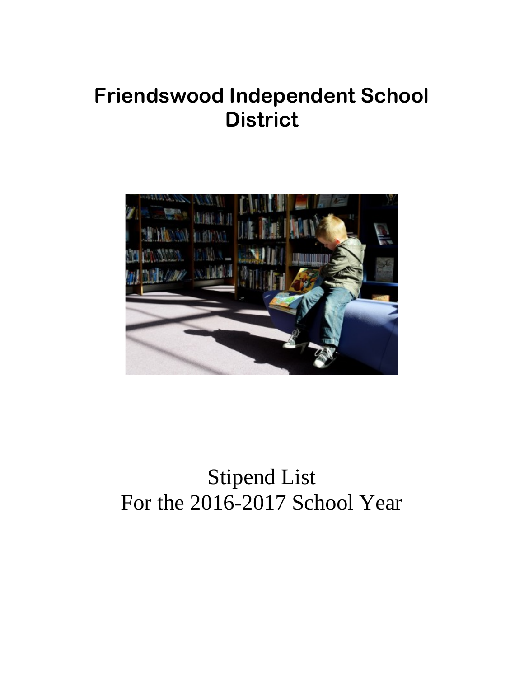## **Friendswood Independent School District**



## Stipend List For the 2016-2017 School Year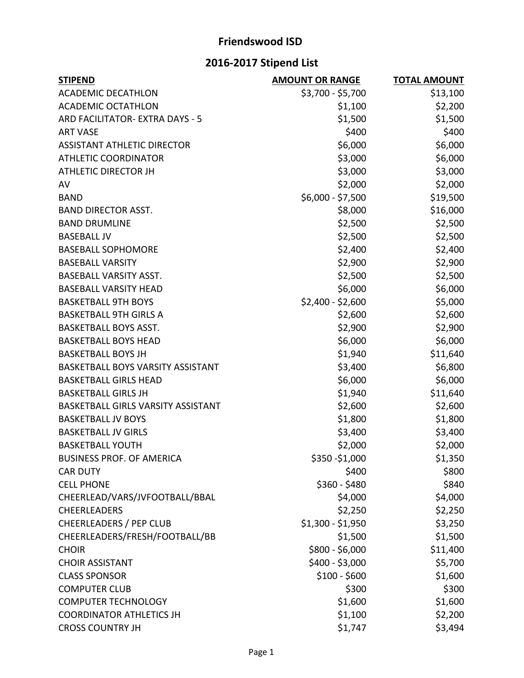## **Friendswood ISD**

## **2016‐2017 Stipend List**

| <b>STIPEND</b>                           | <b>AMOUNT OR RANGE</b> | <b>TOTAL AMOUNT</b> |
|------------------------------------------|------------------------|---------------------|
| <b>ACADEMIC DECATHLON</b>                | \$3,700 - \$5,700      | \$13,100            |
| <b>ACADEMIC OCTATHLON</b>                | \$1,100                | \$2,200             |
| ARD FACILITATOR- EXTRA DAYS - 5          | \$1,500                | \$1,500             |
| <b>ART VASE</b>                          | \$400                  | \$400               |
| <b>ASSISTANT ATHLETIC DIRECTOR</b>       | \$6,000                | \$6,000             |
| <b>ATHLETIC COORDINATOR</b>              | \$3,000                | \$6,000             |
| <b>ATHLETIC DIRECTOR JH</b>              | \$3,000                | \$3,000             |
| AV                                       | \$2,000                | \$2,000             |
| <b>BAND</b>                              | \$6,000 - \$7,500      | \$19,500            |
| <b>BAND DIRECTOR ASST.</b>               | \$8,000                | \$16,000            |
| <b>BAND DRUMLINE</b>                     | \$2,500                | \$2,500             |
| <b>BASEBALL JV</b>                       | \$2,500                | \$2,500             |
| <b>BASEBALL SOPHOMORE</b>                | \$2,400                | \$2,400             |
| <b>BASEBALL VARSITY</b>                  | \$2,900                | \$2,900             |
| <b>BASEBALL VARSITY ASST.</b>            | \$2,500                | \$2,500             |
| <b>BASEBALL VARSITY HEAD</b>             | \$6,000                | \$6,000             |
| <b>BASKETBALL 9TH BOYS</b>               | $$2,400 - $2,600$      | \$5,000             |
| <b>BASKETBALL 9TH GIRLS A</b>            | \$2,600                | \$2,600             |
| <b>BASKETBALL BOYS ASST.</b>             | \$2,900                | \$2,900             |
| <b>BASKETBALL BOYS HEAD</b>              | \$6,000                | \$6,000             |
| <b>BASKETBALL BOYS JH</b>                | \$1,940                | \$11,640            |
| <b>BASKETBALL BOYS VARSITY ASSISTANT</b> | \$3,400                | \$6,800             |
| <b>BASKETBALL GIRLS HEAD</b>             | \$6,000                | \$6,000             |
| <b>BASKETBALL GIRLS JH</b>               | \$1,940                | \$11,640            |
| BASKETBALL GIRLS VARSITY ASSISTANT       | \$2,600                | \$2,600             |
| <b>BASKETBALL JV BOYS</b>                | \$1,800                | \$1,800             |
| <b>BASKETBALL JV GIRLS</b>               | \$3,400                | \$3,400             |
| <b>BASKETBALL YOUTH</b>                  | \$2,000                | \$2,000             |
| <b>BUSINESS PROF. OF AMERICA</b>         | \$350-\$1,000          | \$1,350             |
| <b>CAR DUTY</b>                          | \$400                  | \$800               |
| <b>CELL PHONE</b>                        | $$360 - $480$          | \$840               |
| CHEERLEAD/VARS/JVFOOTBALL/BBAL           | \$4,000                | \$4,000             |
| <b>CHEERLEADERS</b>                      | \$2,250                | \$2,250             |
| <b>CHEERLEADERS / PEP CLUB</b>           | $$1,300 - $1,950$      | \$3,250             |
| CHEERLEADERS/FRESH/FOOTBALL/BB           | \$1,500                | \$1,500             |
| <b>CHOIR</b>                             | \$800 - \$6,000        | \$11,400            |
| <b>CHOIR ASSISTANT</b>                   | \$400 - \$3,000        | \$5,700             |
| <b>CLASS SPONSOR</b>                     | $$100 - $600$          | \$1,600             |
| <b>COMPUTER CLUB</b>                     | \$300                  | \$300               |
| <b>COMPUTER TECHNOLOGY</b>               | \$1,600                | \$1,600             |
| <b>COORDINATOR ATHLETICS JH</b>          | \$1,100                | \$2,200             |
| <b>CROSS COUNTRY JH</b>                  | \$1,747                | \$3,494             |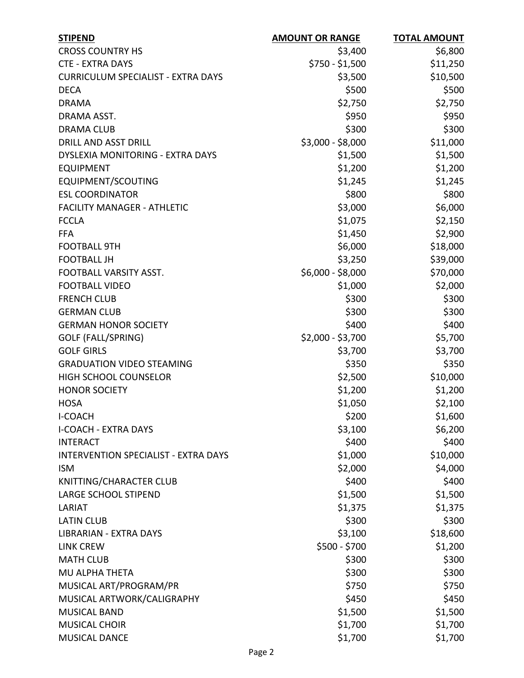| <b>STIPEND</b>                              | <b>AMOUNT OR RANGE</b> | <b>TOTAL AMOUNT</b> |
|---------------------------------------------|------------------------|---------------------|
| <b>CROSS COUNTRY HS</b>                     | \$3,400                | \$6,800             |
| <b>CTE - EXTRA DAYS</b>                     | \$750 - \$1,500        | \$11,250            |
| <b>CURRICULUM SPECIALIST - EXTRA DAYS</b>   | \$3,500                | \$10,500            |
| <b>DECA</b>                                 | \$500                  | \$500               |
| <b>DRAMA</b>                                | \$2,750                | \$2,750             |
| DRAMA ASST.                                 | \$950                  | \$950               |
| <b>DRAMA CLUB</b>                           | \$300                  | \$300               |
| <b>DRILL AND ASST DRILL</b>                 | \$3,000 - \$8,000      | \$11,000            |
| DYSLEXIA MONITORING - EXTRA DAYS            | \$1,500                | \$1,500             |
| <b>EQUIPMENT</b>                            | \$1,200                | \$1,200             |
| EQUIPMENT/SCOUTING                          | \$1,245                | \$1,245             |
| <b>ESL COORDINATOR</b>                      | \$800                  | \$800               |
| <b>FACILITY MANAGER - ATHLETIC</b>          | \$3,000                | \$6,000             |
| <b>FCCLA</b>                                | \$1,075                | \$2,150             |
| <b>FFA</b>                                  | \$1,450                | \$2,900             |
| <b>FOOTBALL 9TH</b>                         | \$6,000                | \$18,000            |
| <b>FOOTBALL JH</b>                          | \$3,250                | \$39,000            |
| FOOTBALL VARSITY ASST.                      | \$6,000 - \$8,000      | \$70,000            |
| <b>FOOTBALL VIDEO</b>                       | \$1,000                | \$2,000             |
| <b>FRENCH CLUB</b>                          | \$300                  | \$300               |
| <b>GERMAN CLUB</b>                          | \$300                  | \$300               |
| <b>GERMAN HONOR SOCIETY</b>                 | \$400                  | \$400               |
| <b>GOLF (FALL/SPRING)</b>                   | $$2,000 - $3,700$      | \$5,700             |
| <b>GOLF GIRLS</b>                           | \$3,700                | \$3,700             |
| <b>GRADUATION VIDEO STEAMING</b>            | \$350                  | \$350               |
| HIGH SCHOOL COUNSELOR                       | \$2,500                | \$10,000            |
| <b>HONOR SOCIETY</b>                        | \$1,200                | \$1,200             |
| <b>HOSA</b>                                 | \$1,050                | \$2,100             |
| <b>I-COACH</b>                              | \$200                  | \$1,600             |
| <b>I-COACH - EXTRA DAYS</b>                 | \$3,100                | \$6,200             |
| <b>INTERACT</b>                             | \$400                  | \$400               |
| <b>INTERVENTION SPECIALIST - EXTRA DAYS</b> | \$1,000                | \$10,000            |
| <b>ISM</b>                                  | \$2,000                | \$4,000             |
| KNITTING/CHARACTER CLUB                     | \$400                  | \$400               |
| LARGE SCHOOL STIPEND                        | \$1,500                | \$1,500             |
| LARIAT                                      | \$1,375                | \$1,375             |
| <b>LATIN CLUB</b>                           | \$300                  | \$300               |
| LIBRARIAN - EXTRA DAYS                      | \$3,100                | \$18,600            |
| <b>LINK CREW</b>                            | \$500 - \$700          | \$1,200             |
| <b>MATH CLUB</b>                            | \$300                  | \$300               |
| MU ALPHA THETA                              | \$300                  | \$300               |
| MUSICAL ART/PROGRAM/PR                      | \$750                  | \$750               |
| MUSICAL ARTWORK/CALIGRAPHY                  | \$450                  | \$450               |
| <b>MUSICAL BAND</b>                         | \$1,500                | \$1,500             |
| <b>MUSICAL CHOIR</b>                        | \$1,700                | \$1,700             |
| <b>MUSICAL DANCE</b>                        | \$1,700                | \$1,700             |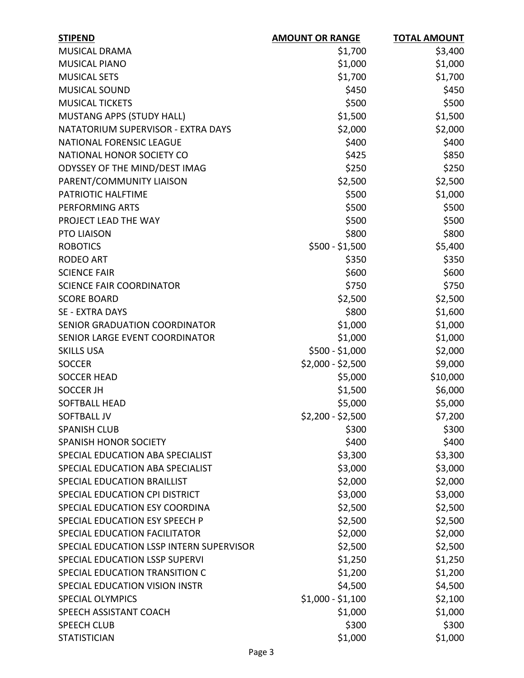| <b>STIPEND</b>                           | <b>AMOUNT OR RANGE</b> | <b>TOTAL AMOUNT</b> |
|------------------------------------------|------------------------|---------------------|
| <b>MUSICAL DRAMA</b>                     | \$1,700                | \$3,400             |
| <b>MUSICAL PIANO</b>                     | \$1,000                | \$1,000             |
| <b>MUSICAL SETS</b>                      | \$1,700                | \$1,700             |
| MUSICAL SOUND                            | \$450                  | \$450               |
| <b>MUSICAL TICKETS</b>                   | \$500                  | \$500               |
| <b>MUSTANG APPS (STUDY HALL)</b>         | \$1,500                | \$1,500             |
| NATATORIUM SUPERVISOR - EXTRA DAYS       | \$2,000                | \$2,000             |
| <b>NATIONAL FORENSIC LEAGUE</b>          | \$400                  | \$400               |
| NATIONAL HONOR SOCIETY CO                | \$425                  | \$850               |
| ODYSSEY OF THE MIND/DEST IMAG            | \$250                  | \$250               |
| PARENT/COMMUNITY LIAISON                 | \$2,500                | \$2,500             |
| PATRIOTIC HALFTIME                       | \$500                  | \$1,000             |
| PERFORMING ARTS                          | \$500                  | \$500               |
| PROJECT LEAD THE WAY                     | \$500                  | \$500               |
| <b>PTO LIAISON</b>                       | \$800                  | \$800               |
| <b>ROBOTICS</b>                          | $$500 - $1,500$        | \$5,400             |
| <b>RODEO ART</b>                         | \$350                  | \$350               |
| <b>SCIENCE FAIR</b>                      | \$600                  | \$600               |
| <b>SCIENCE FAIR COORDINATOR</b>          | \$750                  | \$750               |
| <b>SCORE BOARD</b>                       | \$2,500                | \$2,500             |
| SE - EXTRA DAYS                          | \$800                  | \$1,600             |
| SENIOR GRADUATION COORDINATOR            | \$1,000                | \$1,000             |
| SENIOR LARGE EVENT COORDINATOR           | \$1,000                | \$1,000             |
| <b>SKILLS USA</b>                        | \$500 - \$1,000        | \$2,000             |
| <b>SOCCER</b>                            | \$2,000 - \$2,500      | \$9,000             |
| <b>SOCCER HEAD</b>                       | \$5,000                | \$10,000            |
| <b>SOCCER JH</b>                         | \$1,500                | \$6,000             |
| <b>SOFTBALL HEAD</b>                     | \$5,000                | \$5,000             |
| SOFTBALL JV                              | \$2,200 - \$2,500      | \$7,200             |
| <b>SPANISH CLUB</b>                      | \$300                  | \$300               |
| <b>SPANISH HONOR SOCIETY</b>             | \$400                  | \$400               |
| SPECIAL EDUCATION ABA SPECIALIST         | \$3,300                | \$3,300             |
| SPECIAL EDUCATION ABA SPECIALIST         | \$3,000                | \$3,000             |
| SPECIAL EDUCATION BRAILLIST              | \$2,000                | \$2,000             |
| SPECIAL EDUCATION CPI DISTRICT           | \$3,000                | \$3,000             |
| SPECIAL EDUCATION ESY COORDINA           | \$2,500                | \$2,500             |
| SPECIAL EDUCATION ESY SPEECH P           | \$2,500                | \$2,500             |
| SPECIAL EDUCATION FACILITATOR            | \$2,000                | \$2,000             |
| SPECIAL EDUCATION LSSP INTERN SUPERVISOR | \$2,500                | \$2,500             |
| SPECIAL EDUCATION LSSP SUPERVI           | \$1,250                | \$1,250             |
| SPECIAL EDUCATION TRANSITION C           | \$1,200                | \$1,200             |
| SPECIAL EDUCATION VISION INSTR           | \$4,500                | \$4,500             |
| <b>SPECIAL OLYMPICS</b>                  | $$1,000 - $1,100$      | \$2,100             |
| SPEECH ASSISTANT COACH                   | \$1,000                | \$1,000             |
| <b>SPEECH CLUB</b>                       | \$300                  | \$300               |
| <b>STATISTICIAN</b>                      | \$1,000                | \$1,000             |